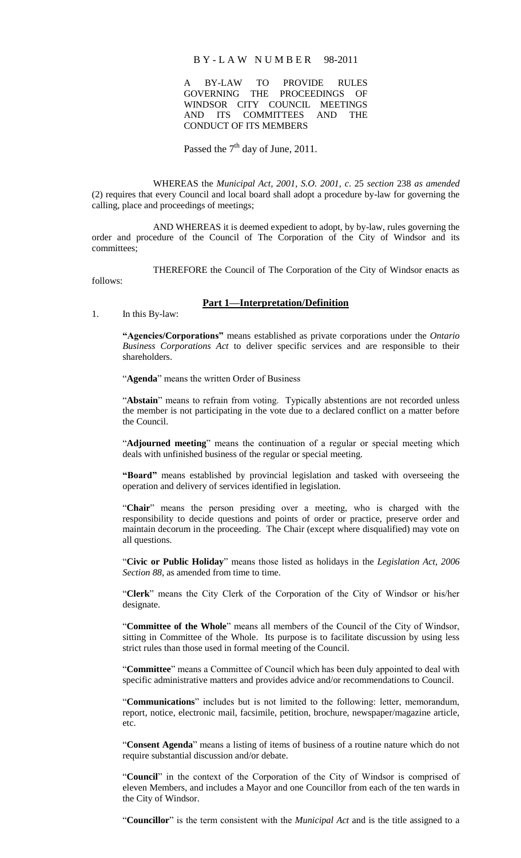#### B Y - L A W N U M B E R 98-2011

A BY-LAW TO PROVIDE RULES GOVERNING THE PROCEEDINGS OF WINDSOR CITY COUNCIL MEETINGS AND ITS COMMITTEES AND THE CONDUCT OF ITS MEMBERS

# Passed the  $7<sup>th</sup>$  day of June, 2011.

WHEREAS the *Municipal Act, 2001, S.O. 2001, c*. 25 *section* 238 *as amended* (2) requires that every Council and local board shall adopt a procedure by-law for governing the calling, place and proceedings of meetings;

AND WHEREAS it is deemed expedient to adopt, by by-law, rules governing the order and procedure of the Council of The Corporation of the City of Windsor and its committees;

THEREFORE the Council of The Corporation of the City of Windsor enacts as

follows:

1. In this By-law:

## **Part 1—Interpretation/Definition**

**―Agencies/Corporations‖** means established as private corporations under the *Ontario Business Corporations Act* to deliver specific services and are responsible to their shareholders.

"**Agenda**" means the written Order of Business

"Abstain" means to refrain from voting. Typically abstentions are not recorded unless the member is not participating in the vote due to a declared conflict on a matter before the Council.

"**Adjourned meeting**" means the continuation of a regular or special meeting which deals with unfinished business of the regular or special meeting.

"Board" means established by provincial legislation and tasked with overseeing the operation and delivery of services identified in legislation.

"**Chair**" means the person presiding over a meeting, who is charged with the responsibility to decide questions and points of order or practice, preserve order and maintain decorum in the proceeding. The Chair (except where disqualified) may vote on all questions.

"**Civic or Public Holiday**" means those listed as holidays in the *Legislation Act, 2006 Section 88,* as amended from time to time.

"**Clerk**" means the City Clerk of the Corporation of the City of Windsor or his/her designate.

"**Committee of the Whole**" means all members of the Council of the City of Windsor, sitting in Committee of the Whole. Its purpose is to facilitate discussion by using less strict rules than those used in formal meeting of the Council.

"**Committee**" means a Committee of Council which has been duly appointed to deal with specific administrative matters and provides advice and/or recommendations to Council.

"**Communications**" includes but is not limited to the following: letter, memorandum, report, notice, electronic mail, facsimile, petition, brochure, newspaper/magazine article, etc.

"**Consent Agenda**" means a listing of items of business of a routine nature which do not require substantial discussion and/or debate.

"**Council**" in the context of the Corporation of the City of Windsor is comprised of eleven Members, and includes a Mayor and one Councillor from each of the ten wards in the City of Windsor.

"**Councillor**" is the term consistent with the *Municipal Act* and is the title assigned to a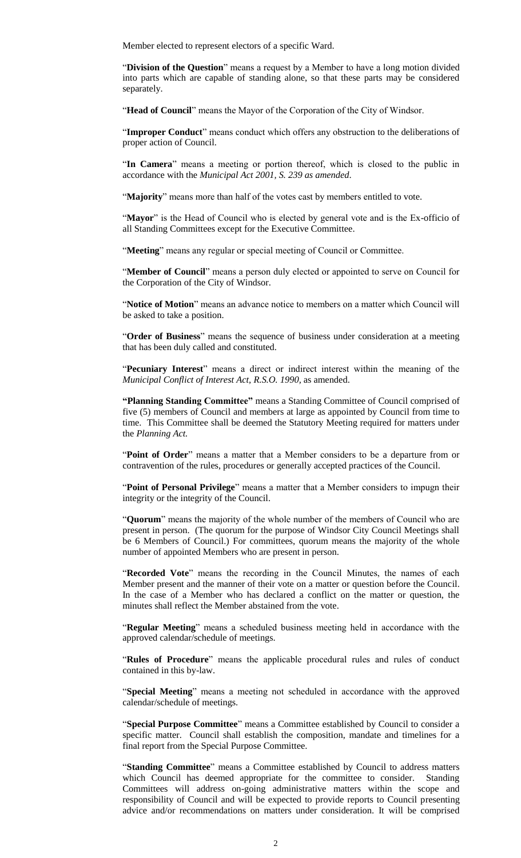Member elected to represent electors of a specific Ward.

"**Division of the Question**" means a request by a Member to have a long motion divided into parts which are capable of standing alone, so that these parts may be considered separately.

"**Head of Council**" means the Mayor of the Corporation of the City of Windsor.

"**Improper Conduct**" means conduct which offers any obstruction to the deliberations of proper action of Council.

"**In Camera**" means a meeting or portion thereof, which is closed to the public in accordance with the *Municipal Act 2001, S. 239 as amended*.

"**Majority**" means more than half of the votes cast by members entitled to vote.

"Mayor" is the Head of Council who is elected by general vote and is the Ex-officio of all Standing Committees except for the Executive Committee.

"**Meeting**" means any regular or special meeting of Council or Committee.

"**Member of Council**" means a person duly elected or appointed to serve on Council for the Corporation of the City of Windsor.

"**Notice of Motion**" means an advance notice to members on a matter which Council will be asked to take a position.

"**Order of Business**" means the sequence of business under consideration at a meeting that has been duly called and constituted.

"**Pecuniary Interest**" means a direct or indirect interest within the meaning of the *Municipal Conflict of Interest Act, R.S.O. 1990, as amended.* 

**―Planning Standing Committee‖** means a Standing Committee of Council comprised of five (5) members of Council and members at large as appointed by Council from time to time. This Committee shall be deemed the Statutory Meeting required for matters under the *Planning Act.*

"**Point of Order**" means a matter that a Member considers to be a departure from or contravention of the rules, procedures or generally accepted practices of the Council.

"**Point of Personal Privilege**" means a matter that a Member considers to impugn their integrity or the integrity of the Council.

"**Quorum**" means the majority of the whole number of the members of Council who are present in person. (The quorum for the purpose of Windsor City Council Meetings shall be 6 Members of Council.) For committees, quorum means the majority of the whole number of appointed Members who are present in person.

"**Recorded Vote**" means the recording in the Council Minutes, the names of each Member present and the manner of their vote on a matter or question before the Council. In the case of a Member who has declared a conflict on the matter or question, the minutes shall reflect the Member abstained from the vote.

"**Regular Meeting**" means a scheduled business meeting held in accordance with the approved calendar/schedule of meetings.

"**Rules of Procedure**" means the applicable procedural rules and rules of conduct contained in this by-law.

"**Special Meeting**" means a meeting not scheduled in accordance with the approved calendar/schedule of meetings.

"**Special Purpose Committee**" means a Committee established by Council to consider a specific matter. Council shall establish the composition, mandate and timelines for a final report from the Special Purpose Committee.

"**Standing Committee**" means a Committee established by Council to address matters which Council has deemed appropriate for the committee to consider. Standing Committees will address on-going administrative matters within the scope and responsibility of Council and will be expected to provide reports to Council presenting advice and/or recommendations on matters under consideration. It will be comprised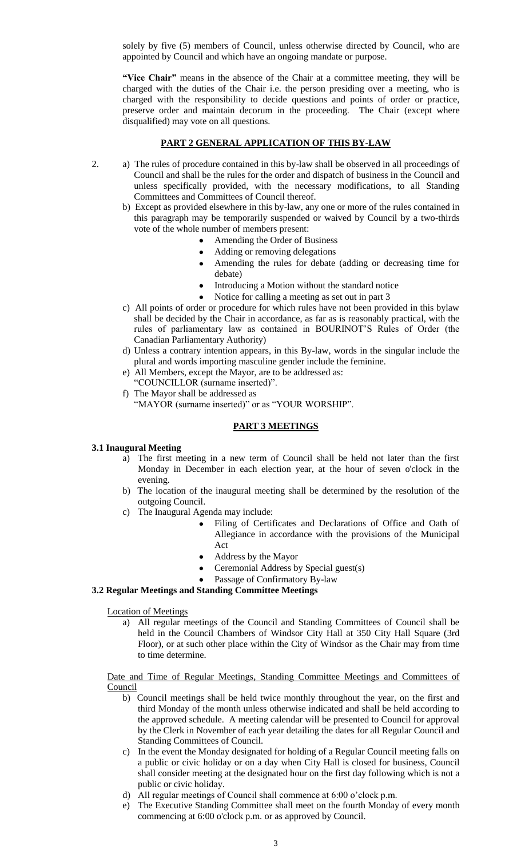solely by five (5) members of Council, unless otherwise directed by Council, who are appointed by Council and which have an ongoing mandate or purpose.

"Vice Chair" means in the absence of the Chair at a committee meeting, they will be charged with the duties of the Chair i.e. the person presiding over a meeting, who is charged with the responsibility to decide questions and points of order or practice, preserve order and maintain decorum in the proceeding. The Chair (except where disqualified) may vote on all questions.

## **PART 2 GENERAL APPLICATION OF THIS BY-LAW**

- 2. a) The rules of procedure contained in this by-law shall be observed in all proceedings of Council and shall be the rules for the order and dispatch of business in the Council and unless specifically provided, with the necessary modifications, to all Standing Committees and Committees of Council thereof.
	- b) Except as provided elsewhere in this by-law, any one or more of the rules contained in this paragraph may be temporarily suspended or waived by Council by a two-thirds vote of the whole number of members present:
		- Amending the Order of Business
		- Adding or removing delegations
		- Amending the rules for debate (adding or decreasing time for debate)
		- Introducing a Motion without the standard notice
		- Notice for calling a meeting as set out in part 3
	- c) All points of order or procedure for which rules have not been provided in this bylaw shall be decided by the Chair in accordance, as far as is reasonably practical, with the rules of parliamentary law as contained in BOURINOT"S Rules of Order (the Canadian Parliamentary Authority)
	- d) Unless a contrary intention appears, in this By-law, words in the singular include the plural and words importing masculine gender include the feminine.
	- e) All Members, except the Mayor, are to be addressed as:
	- "COUNCILLOR (surname inserted)".
	- f) The Mayor shall be addressed as "MAYOR (surname inserted)" or as "YOUR WORSHIP".

## **PART 3 MEETINGS**

#### **3.1 Inaugural Meeting**

- a) The first meeting in a new term of Council shall be held not later than the first Monday in December in each election year, at the hour of seven o'clock in the evening.
- b) The location of the inaugural meeting shall be determined by the resolution of the outgoing Council.
- c) The Inaugural Agenda may include:
	- Filing of Certificates and Declarations of Office and Oath of Allegiance in accordance with the provisions of the Municipal Act
	- Address by the Mayor
	- Ceremonial Address by Special guest(s)
	- Passage of Confirmatory By-law

## **3.2 Regular Meetings and Standing Committee Meetings**

#### Location of Meetings

a) All regular meetings of the Council and Standing Committees of Council shall be held in the Council Chambers of Windsor City Hall at 350 City Hall Square (3rd Floor), or at such other place within the City of Windsor as the Chair may from time to time determine.

## Date and Time of Regular Meetings, Standing Committee Meetings and Committees of **Council**

- b) Council meetings shall be held twice monthly throughout the year, on the first and third Monday of the month unless otherwise indicated and shall be held according to the approved schedule. A meeting calendar will be presented to Council for approval by the Clerk in November of each year detailing the dates for all Regular Council and Standing Committees of Council.
- c) In the event the Monday designated for holding of a Regular Council meeting falls on a public or civic holiday or on a day when City Hall is closed for business, Council shall consider meeting at the designated hour on the first day following which is not a public or civic holiday.
- d) All regular meetings of Council shall commence at 6:00 o"clock p.m.
- e) The Executive Standing Committee shall meet on the fourth Monday of every month commencing at 6:00 o'clock p.m. or as approved by Council.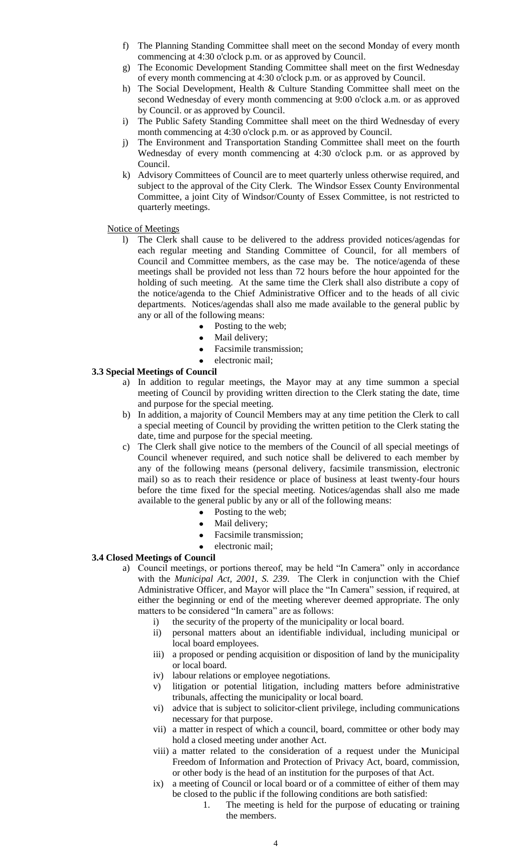- f) The Planning Standing Committee shall meet on the second Monday of every month commencing at 4:30 o'clock p.m. or as approved by Council.
- g) The Economic Development Standing Committee shall meet on the first Wednesday of every month commencing at 4:30 o'clock p.m. or as approved by Council.
- h) The Social Development, Health & Culture Standing Committee shall meet on the second Wednesday of every month commencing at 9:00 o'clock a.m. or as approved by Council. or as approved by Council.
- i) The Public Safety Standing Committee shall meet on the third Wednesday of every month commencing at 4:30 o'clock p.m. or as approved by Council.
- j) The Environment and Transportation Standing Committee shall meet on the fourth Wednesday of every month commencing at 4:30 o'clock p.m. or as approved by Council.
- k) Advisory Committees of Council are to meet quarterly unless otherwise required, and subject to the approval of the City Clerk. The Windsor Essex County Environmental Committee, a joint City of Windsor/County of Essex Committee, is not restricted to quarterly meetings.

## Notice of Meetings

- l) The Clerk shall cause to be delivered to the address provided notices/agendas for each regular meeting and Standing Committee of Council, for all members of Council and Committee members, as the case may be. The notice/agenda of these meetings shall be provided not less than 72 hours before the hour appointed for the holding of such meeting. At the same time the Clerk shall also distribute a copy of the notice/agenda to the Chief Administrative Officer and to the heads of all civic departments. Notices/agendas shall also me made available to the general public by any or all of the following means:
	- Posting to the web;
	- Mail delivery;
	- Facsimile transmission;
	- electronic mail;

# **3.3 Special Meetings of Council**

- a) In addition to regular meetings, the Mayor may at any time summon a special meeting of Council by providing written direction to the Clerk stating the date, time and purpose for the special meeting.
- b) In addition, a majority of Council Members may at any time petition the Clerk to call a special meeting of Council by providing the written petition to the Clerk stating the date, time and purpose for the special meeting.
- c) The Clerk shall give notice to the members of the Council of all special meetings of Council whenever required, and such notice shall be delivered to each member by any of the following means (personal delivery, facsimile transmission, electronic mail) so as to reach their residence or place of business at least twenty-four hours before the time fixed for the special meeting. Notices/agendas shall also me made available to the general public by any or all of the following means:
	- Posting to the web;
	- Mail delivery;
	- Facsimile transmission;
	- electronic mail;

## **3.4 Closed Meetings of Council**

- a) Council meetings, or portions thereof, may be held "In Camera" only in accordance with the *Municipal Act, 2001, S. 239*. The Clerk in conjunction with the Chief Administrative Officer, and Mayor will place the "In Camera" session, if required, at either the beginning or end of the meeting wherever deemed appropriate. The only matters to be considered "In camera" are as follows:
	- i) the security of the property of the municipality or local board.
	- ii) personal matters about an identifiable individual, including municipal or local board employees.
	- iii) a proposed or pending acquisition or disposition of land by the municipality or local board.
	- iv) labour relations or employee negotiations.
	- v) litigation or potential litigation, including matters before administrative tribunals, affecting the municipality or local board.
	- vi) advice that is subject to solicitor-client privilege, including communications necessary for that purpose.
	- vii) a matter in respect of which a council, board, committee or other body may hold a closed meeting under another Act.
	- viii) a matter related to the consideration of a request under the Municipal Freedom of Information and Protection of Privacy Act, board, commission, or other body is the head of an institution for the purposes of that Act.
	- ix) a meeting of Council or local board or of a committee of either of them may be closed to the public if the following conditions are both satisfied:
		- 1. The meeting is held for the purpose of educating or training the members.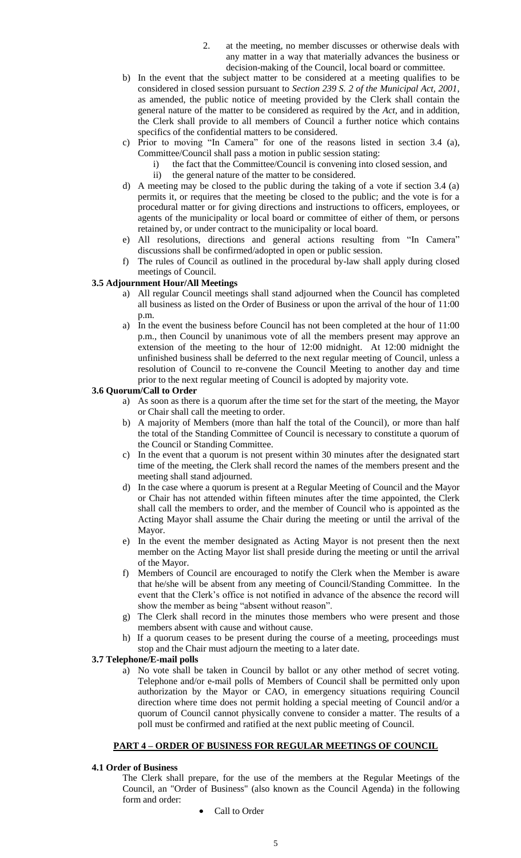- 2. at the meeting, no member discusses or otherwise deals with any matter in a way that materially advances the business or decision-making of the Council, local board or committee.
- b) In the event that the subject matter to be considered at a meeting qualifies to be considered in closed session pursuant to *Section 239 S. 2 of the Municipal Act, 2001*, as amended, the public notice of meeting provided by the Clerk shall contain the general nature of the matter to be considered as required by the *Act*, and in addition, the Clerk shall provide to all members of Council a further notice which contains specifics of the confidential matters to be considered.
- c) Prior to moving "In Camera" for one of the reasons listed in section 3.4 (a), Committee/Council shall pass a motion in public session stating:
	- i) the fact that the Committee/Council is convening into closed session, and
	- ii) the general nature of the matter to be considered.
- d) A meeting may be closed to the public during the taking of a vote if section 3.4 (a) permits it, or requires that the meeting be closed to the public; and the vote is for a procedural matter or for giving directions and instructions to officers, employees, or agents of the municipality or local board or committee of either of them, or persons retained by, or under contract to the municipality or local board.
- e) All resolutions, directions and general actions resulting from "In Camera" discussions shall be confirmed/adopted in open or public session.
- f) The rules of Council as outlined in the procedural by-law shall apply during closed meetings of Council.

## **3.5 Adjournment Hour/All Meetings**

- a) All regular Council meetings shall stand adjourned when the Council has completed all business as listed on the Order of Business or upon the arrival of the hour of 11:00 p.m.
- a) In the event the business before Council has not been completed at the hour of 11:00 p.m., then Council by unanimous vote of all the members present may approve an extension of the meeting to the hour of 12:00 midnight. At 12:00 midnight the unfinished business shall be deferred to the next regular meeting of Council, unless a resolution of Council to re-convene the Council Meeting to another day and time prior to the next regular meeting of Council is adopted by majority vote.

#### **3.6 Quorum/Call to Order**

- a) As soon as there is a quorum after the time set for the start of the meeting, the Mayor or Chair shall call the meeting to order.
- b) A majority of Members (more than half the total of the Council), or more than half the total of the Standing Committee of Council is necessary to constitute a quorum of the Council or Standing Committee.
- c) In the event that a quorum is not present within 30 minutes after the designated start time of the meeting, the Clerk shall record the names of the members present and the meeting shall stand adjourned.
- d) In the case where a quorum is present at a Regular Meeting of Council and the Mayor or Chair has not attended within fifteen minutes after the time appointed, the Clerk shall call the members to order, and the member of Council who is appointed as the Acting Mayor shall assume the Chair during the meeting or until the arrival of the Mayor.
- e) In the event the member designated as Acting Mayor is not present then the next member on the Acting Mayor list shall preside during the meeting or until the arrival of the Mayor.
- f) Members of Council are encouraged to notify the Clerk when the Member is aware that he/she will be absent from any meeting of Council/Standing Committee. In the event that the Clerk"s office is not notified in advance of the absence the record will show the member as being "absent without reason".
- g) The Clerk shall record in the minutes those members who were present and those members absent with cause and without cause.
- h) If a quorum ceases to be present during the course of a meeting, proceedings must stop and the Chair must adjourn the meeting to a later date.

#### **3.7 Telephone/E-mail polls**

a) No vote shall be taken in Council by ballot or any other method of secret voting. Telephone and/or e-mail polls of Members of Council shall be permitted only upon authorization by the Mayor or CAO, in emergency situations requiring Council direction where time does not permit holding a special meeting of Council and/or a quorum of Council cannot physically convene to consider a matter. The results of a poll must be confirmed and ratified at the next public meeting of Council.

## **PART 4 – ORDER OF BUSINESS FOR REGULAR MEETINGS OF COUNCIL**

#### **4.1 Order of Business**

The Clerk shall prepare, for the use of the members at the Regular Meetings of the Council, an "Order of Business" (also known as the Council Agenda) in the following form and order:

Call to Order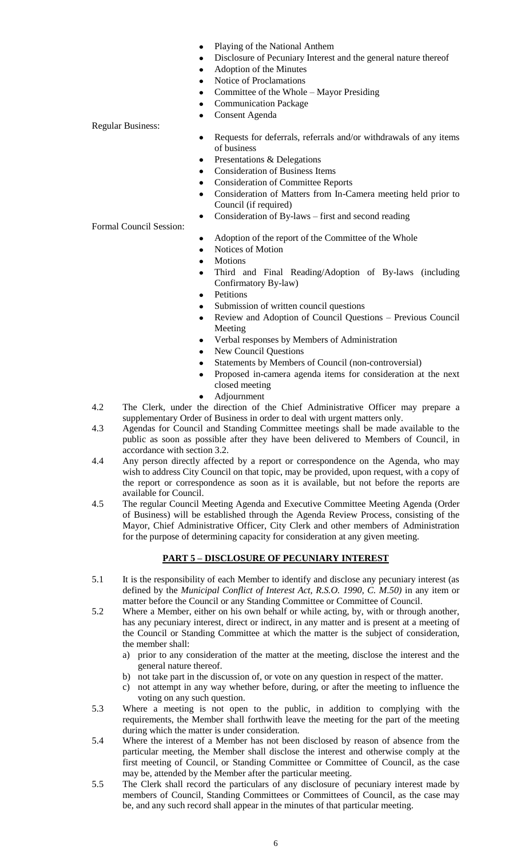- Playing of the National Anthem
- Disclosure of Pecuniary Interest and the general nature thereof
	- Adoption of the Minutes
	- Notice of Proclamations
	- Committee of the Whole Mayor Presiding
	- Communication Package
	- Consent Agenda

# Regular Business:

- Requests for deferrals, referrals and/or withdrawals of any items of business
- Presentations & Delegations
- Consideration of Business Items
- Consideration of Committee Reports
- Consideration of Matters from In-Camera meeting held prior to Council (if required)
- Consideration of By-laws first and second reading

# Formal Council Session:

- Adoption of the report of the Committee of the Whole
- Notices of Motion
- Motions
- Third and Final Reading/Adoption of By-laws (including Confirmatory By-law)
- Petitions
- Submission of written council questions
- Review and Adoption of Council Questions Previous Council Meeting
- Verbal responses by Members of Administration
- New Council Questions
- Statements by Members of Council (non-controversial)
- Proposed in-camera agenda items for consideration at the next closed meeting
- Adjournment
- 4.2 The Clerk, under the direction of the Chief Administrative Officer may prepare a supplementary Order of Business in order to deal with urgent matters only.
- 4.3 Agendas for Council and Standing Committee meetings shall be made available to the public as soon as possible after they have been delivered to Members of Council, in accordance with section 3.2.
- 4.4 Any person directly affected by a report or correspondence on the Agenda, who may wish to address City Council on that topic, may be provided, upon request, with a copy of the report or correspondence as soon as it is available, but not before the reports are available for Council.
- 4.5 The regular Council Meeting Agenda and Executive Committee Meeting Agenda (Order of Business) will be established through the Agenda Review Process, consisting of the Mayor, Chief Administrative Officer, City Clerk and other members of Administration for the purpose of determining capacity for consideration at any given meeting.

# **PART 5 – DISCLOSURE OF PECUNIARY INTEREST**

- 5.1 It is the responsibility of each Member to identify and disclose any pecuniary interest (as defined by the *Municipal Conflict of Interest Act, R.S.O. 1990, C. M.50)* in any item or matter before the Council or any Standing Committee or Committee of Council.
- 5.2 Where a Member, either on his own behalf or while acting, by, with or through another, has any pecuniary interest, direct or indirect, in any matter and is present at a meeting of the Council or Standing Committee at which the matter is the subject of consideration, the member shall:
	- a) prior to any consideration of the matter at the meeting, disclose the interest and the general nature thereof.
	- b) not take part in the discussion of, or vote on any question in respect of the matter.
	- c) not attempt in any way whether before, during, or after the meeting to influence the voting on any such question.
- 5.3 Where a meeting is not open to the public, in addition to complying with the requirements, the Member shall forthwith leave the meeting for the part of the meeting during which the matter is under consideration.
- 5.4 Where the interest of a Member has not been disclosed by reason of absence from the particular meeting, the Member shall disclose the interest and otherwise comply at the first meeting of Council, or Standing Committee or Committee of Council, as the case may be, attended by the Member after the particular meeting.
- 5.5 The Clerk shall record the particulars of any disclosure of pecuniary interest made by members of Council, Standing Committees or Committees of Council, as the case may be, and any such record shall appear in the minutes of that particular meeting.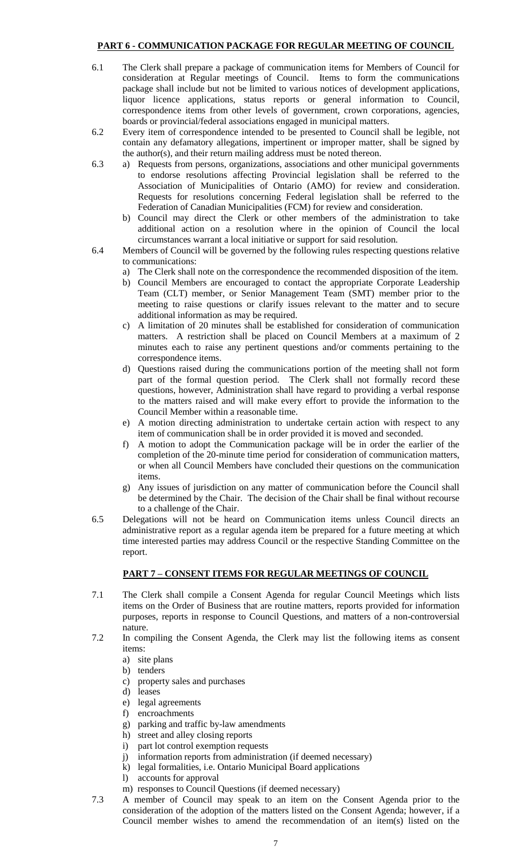# **PART 6 - COMMUNICATION PACKAGE FOR REGULAR MEETING OF COUNCIL**

- 6.1 The Clerk shall prepare a package of communication items for Members of Council for consideration at Regular meetings of Council. Items to form the communications package shall include but not be limited to various notices of development applications, liquor licence applications, status reports or general information to Council, correspondence items from other levels of government, crown corporations, agencies, boards or provincial/federal associations engaged in municipal matters.
- 6.2 Every item of correspondence intended to be presented to Council shall be legible, not contain any defamatory allegations, impertinent or improper matter, shall be signed by the author(s), and their return mailing address must be noted thereon.
- 6.3 a) Requests from persons, organizations, associations and other municipal governments to endorse resolutions affecting Provincial legislation shall be referred to the Association of Municipalities of Ontario (AMO) for review and consideration. Requests for resolutions concerning Federal legislation shall be referred to the Federation of Canadian Municipalities (FCM) for review and consideration.
	- b) Council may direct the Clerk or other members of the administration to take additional action on a resolution where in the opinion of Council the local circumstances warrant a local initiative or support for said resolution.
- 6.4 Members of Council will be governed by the following rules respecting questions relative to communications:
	- a) The Clerk shall note on the correspondence the recommended disposition of the item.
	- b) Council Members are encouraged to contact the appropriate Corporate Leadership Team (CLT) member, or Senior Management Team (SMT) member prior to the meeting to raise questions or clarify issues relevant to the matter and to secure additional information as may be required.
	- c) A limitation of 20 minutes shall be established for consideration of communication matters. A restriction shall be placed on Council Members at a maximum of 2 minutes each to raise any pertinent questions and/or comments pertaining to the correspondence items.
	- d) Questions raised during the communications portion of the meeting shall not form part of the formal question period. The Clerk shall not formally record these questions, however, Administration shall have regard to providing a verbal response to the matters raised and will make every effort to provide the information to the Council Member within a reasonable time.
	- e) A motion directing administration to undertake certain action with respect to any item of communication shall be in order provided it is moved and seconded.
	- f) A motion to adopt the Communication package will be in order the earlier of the completion of the 20-minute time period for consideration of communication matters, or when all Council Members have concluded their questions on the communication items.
	- g) Any issues of jurisdiction on any matter of communication before the Council shall be determined by the Chair. The decision of the Chair shall be final without recourse to a challenge of the Chair.
- 6.5 Delegations will not be heard on Communication items unless Council directs an administrative report as a regular agenda item be prepared for a future meeting at which time interested parties may address Council or the respective Standing Committee on the report.

# **PART 7 – CONSENT ITEMS FOR REGULAR MEETINGS OF COUNCIL**

- 7.1 The Clerk shall compile a Consent Agenda for regular Council Meetings which lists items on the Order of Business that are routine matters, reports provided for information purposes, reports in response to Council Questions, and matters of a non-controversial nature.
- 7.2 In compiling the Consent Agenda, the Clerk may list the following items as consent items:
	- a) site plans
	- b) tenders
	- c) property sales and purchases
	- d) leases
	- e) legal agreements
	- f) encroachments
	- g) parking and traffic by-law amendments
	- h) street and alley closing reports
	- i) part lot control exemption requests
	- j) information reports from administration (if deemed necessary)
	- k) legal formalities, i.e. Ontario Municipal Board applications
	- l) accounts for approval
	- m) responses to Council Questions (if deemed necessary)
- 7.3 A member of Council may speak to an item on the Consent Agenda prior to the consideration of the adoption of the matters listed on the Consent Agenda; however, if a Council member wishes to amend the recommendation of an item(s) listed on the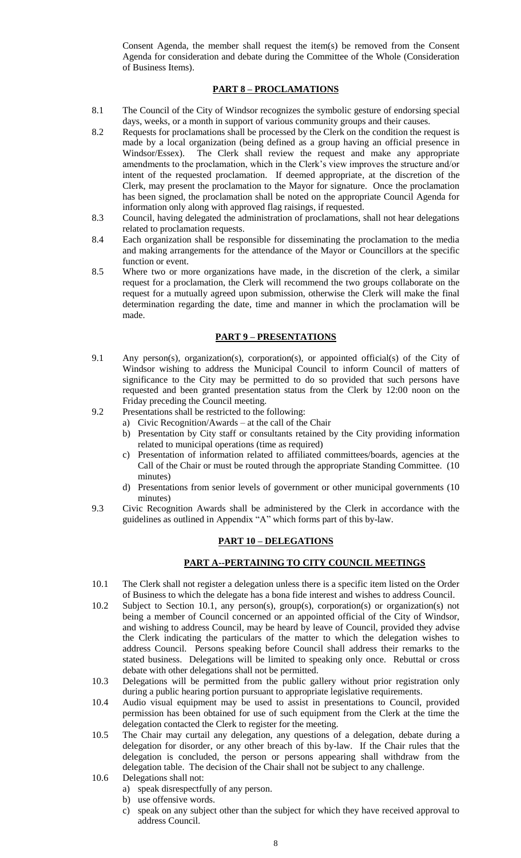Consent Agenda, the member shall request the item(s) be removed from the Consent Agenda for consideration and debate during the Committee of the Whole (Consideration of Business Items).

## **PART 8 – PROCLAMATIONS**

- 8.1 The Council of the City of Windsor recognizes the symbolic gesture of endorsing special days, weeks, or a month in support of various community groups and their causes.
- 8.2 Requests for proclamations shall be processed by the Clerk on the condition the request is made by a local organization (being defined as a group having an official presence in Windsor/Essex). The Clerk shall review the request and make any appropriate amendments to the proclamation, which in the Clerk"s view improves the structure and/or intent of the requested proclamation. If deemed appropriate, at the discretion of the Clerk, may present the proclamation to the Mayor for signature. Once the proclamation has been signed, the proclamation shall be noted on the appropriate Council Agenda for information only along with approved flag raisings, if requested.
- 8.3 Council, having delegated the administration of proclamations, shall not hear delegations related to proclamation requests.
- 8.4 Each organization shall be responsible for disseminating the proclamation to the media and making arrangements for the attendance of the Mayor or Councillors at the specific function or event.
- 8.5 Where two or more organizations have made, in the discretion of the clerk, a similar request for a proclamation, the Clerk will recommend the two groups collaborate on the request for a mutually agreed upon submission, otherwise the Clerk will make the final determination regarding the date, time and manner in which the proclamation will be made.

## **PART 9 – PRESENTATIONS**

- 9.1 Any person(s), organization(s), corporation(s), or appointed official(s) of the City of Windsor wishing to address the Municipal Council to inform Council of matters of significance to the City may be permitted to do so provided that such persons have requested and been granted presentation status from the Clerk by 12:00 noon on the Friday preceding the Council meeting.
- 9.2 Presentations shall be restricted to the following:
	- a) Civic Recognition/Awards at the call of the Chair
		- b) Presentation by City staff or consultants retained by the City providing information related to municipal operations (time as required)
		- c) Presentation of information related to affiliated committees/boards, agencies at the Call of the Chair or must be routed through the appropriate Standing Committee. (10 minutes)
		- d) Presentations from senior levels of government or other municipal governments (10 minutes)
- 9.3 Civic Recognition Awards shall be administered by the Clerk in accordance with the guidelines as outlined in Appendix "A" which forms part of this by-law.

## **PART 10 – DELEGATIONS**

## **PART A--PERTAINING TO CITY COUNCIL MEETINGS**

- 10.1 The Clerk shall not register a delegation unless there is a specific item listed on the Order of Business to which the delegate has a bona fide interest and wishes to address Council.
- 10.2 Subject to Section 10.1, any person(s), group(s), corporation(s) or organization(s) not being a member of Council concerned or an appointed official of the City of Windsor, and wishing to address Council, may be heard by leave of Council, provided they advise the Clerk indicating the particulars of the matter to which the delegation wishes to address Council. Persons speaking before Council shall address their remarks to the stated business. Delegations will be limited to speaking only once. Rebuttal or cross debate with other delegations shall not be permitted.
- 10.3 Delegations will be permitted from the public gallery without prior registration only during a public hearing portion pursuant to appropriate legislative requirements.
- 10.4 Audio visual equipment may be used to assist in presentations to Council, provided permission has been obtained for use of such equipment from the Clerk at the time the delegation contacted the Clerk to register for the meeting.
- 10.5 The Chair may curtail any delegation, any questions of a delegation, debate during a delegation for disorder, or any other breach of this by-law. If the Chair rules that the delegation is concluded, the person or persons appearing shall withdraw from the delegation table. The decision of the Chair shall not be subject to any challenge.
- 10.6 Delegations shall not:
	- a) speak disrespectfully of any person.
	- b) use offensive words.
	- c) speak on any subject other than the subject for which they have received approval to address Council.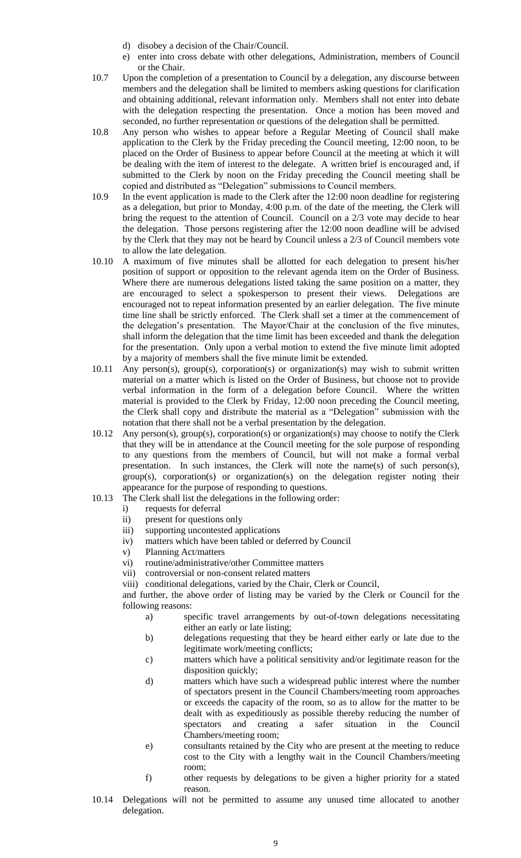- d) disobey a decision of the Chair/Council.
- e) enter into cross debate with other delegations, Administration, members of Council or the Chair.
- 10.7 Upon the completion of a presentation to Council by a delegation, any discourse between members and the delegation shall be limited to members asking questions for clarification and obtaining additional, relevant information only. Members shall not enter into debate with the delegation respecting the presentation. Once a motion has been moved and seconded, no further representation or questions of the delegation shall be permitted.
- 10.8 Any person who wishes to appear before a Regular Meeting of Council shall make application to the Clerk by the Friday preceding the Council meeting, 12:00 noon, to be placed on the Order of Business to appear before Council at the meeting at which it will be dealing with the item of interest to the delegate. A written brief is encouraged and, if submitted to the Clerk by noon on the Friday preceding the Council meeting shall be copied and distributed as "Delegation" submissions to Council members.
- 10.9 In the event application is made to the Clerk after the 12:00 noon deadline for registering as a delegation, but prior to Monday, 4:00 p.m. of the date of the meeting, the Clerk will bring the request to the attention of Council. Council on a 2/3 vote may decide to hear the delegation. Those persons registering after the 12:00 noon deadline will be advised by the Clerk that they may not be heard by Council unless a 2/3 of Council members vote to allow the late delegation.
- 10.10 A maximum of five minutes shall be allotted for each delegation to present his/her position of support or opposition to the relevant agenda item on the Order of Business. Where there are numerous delegations listed taking the same position on a matter, they are encouraged to select a spokesperson to present their views. Delegations are encouraged not to repeat information presented by an earlier delegation. The five minute time line shall be strictly enforced. The Clerk shall set a timer at the commencement of the delegation"s presentation. The Mayor/Chair at the conclusion of the five minutes, shall inform the delegation that the time limit has been exceeded and thank the delegation for the presentation. Only upon a verbal motion to extend the five minute limit adopted by a majority of members shall the five minute limit be extended.
- 10.11 Any person(s), group(s), corporation(s) or organization(s) may wish to submit written material on a matter which is listed on the Order of Business, but choose not to provide verbal information in the form of a delegation before Council. Where the written material is provided to the Clerk by Friday, 12:00 noon preceding the Council meeting, the Clerk shall copy and distribute the material as a "Delegation" submission with the notation that there shall not be a verbal presentation by the delegation.
- 10.12 Any person(s), group(s), corporation(s) or organization(s) may choose to notify the Clerk that they will be in attendance at the Council meeting for the sole purpose of responding to any questions from the members of Council, but will not make a formal verbal presentation. In such instances, the Clerk will note the name(s) of such person(s), group(s), corporation(s) or organization(s) on the delegation register noting their appearance for the purpose of responding to questions.
- 10.13 The Clerk shall list the delegations in the following order:
	- i) requests for deferral
	- ii) present for questions only
	- iii) supporting uncontested applications
	- iv) matters which have been tabled or deferred by Council
	- v) Planning Act/matters
	- vi) routine/administrative/other Committee matters
	- vii) controversial or non-consent related matters
	- viii) conditional delegations, varied by the Chair, Clerk or Council,

and further, the above order of listing may be varied by the Clerk or Council for the following reasons:

- a) specific travel arrangements by out-of-town delegations necessitating either an early or late listing;
- b) delegations requesting that they be heard either early or late due to the legitimate work/meeting conflicts;
- c) matters which have a political sensitivity and/or legitimate reason for the disposition quickly;
- d) matters which have such a widespread public interest where the number of spectators present in the Council Chambers/meeting room approaches or exceeds the capacity of the room, so as to allow for the matter to be dealt with as expeditiously as possible thereby reducing the number of spectators and creating a safer situation in the Council Chambers/meeting room;
- e) consultants retained by the City who are present at the meeting to reduce cost to the City with a lengthy wait in the Council Chambers/meeting room;
- f) other requests by delegations to be given a higher priority for a stated reason.
- 10.14 Delegations will not be permitted to assume any unused time allocated to another delegation.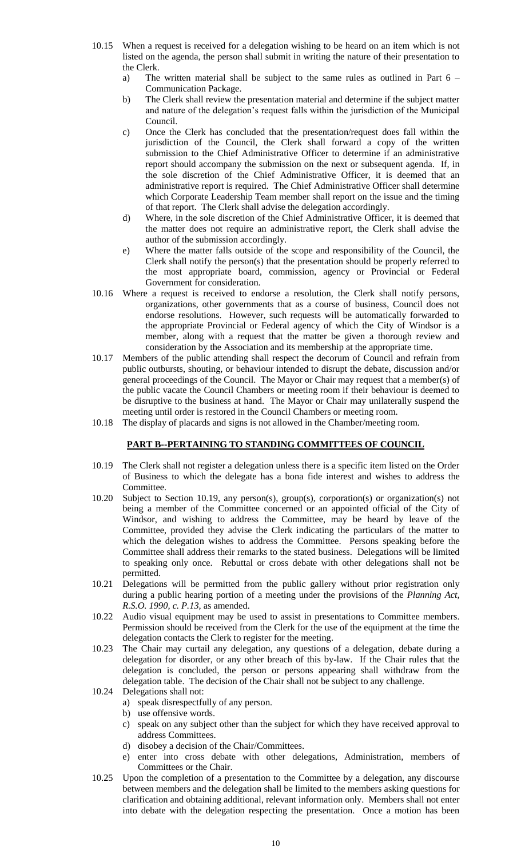- 10.15 When a request is received for a delegation wishing to be heard on an item which is not listed on the agenda, the person shall submit in writing the nature of their presentation to the Clerk.
	- a) The written material shall be subject to the same rules as outlined in Part 6 Communication Package.
	- b) The Clerk shall review the presentation material and determine if the subject matter and nature of the delegation"s request falls within the jurisdiction of the Municipal Council.
	- c) Once the Clerk has concluded that the presentation/request does fall within the jurisdiction of the Council, the Clerk shall forward a copy of the written submission to the Chief Administrative Officer to determine if an administrative report should accompany the submission on the next or subsequent agenda. If, in the sole discretion of the Chief Administrative Officer, it is deemed that an administrative report is required. The Chief Administrative Officer shall determine which Corporate Leadership Team member shall report on the issue and the timing of that report. The Clerk shall advise the delegation accordingly.
	- d) Where, in the sole discretion of the Chief Administrative Officer, it is deemed that the matter does not require an administrative report, the Clerk shall advise the author of the submission accordingly.
	- e) Where the matter falls outside of the scope and responsibility of the Council, the Clerk shall notify the person(s) that the presentation should be properly referred to the most appropriate board, commission, agency or Provincial or Federal Government for consideration.
- 10.16 Where a request is received to endorse a resolution, the Clerk shall notify persons, organizations, other governments that as a course of business, Council does not endorse resolutions. However, such requests will be automatically forwarded to the appropriate Provincial or Federal agency of which the City of Windsor is a member, along with a request that the matter be given a thorough review and consideration by the Association and its membership at the appropriate time.
- 10.17 Members of the public attending shall respect the decorum of Council and refrain from public outbursts, shouting, or behaviour intended to disrupt the debate, discussion and/or general proceedings of the Council. The Mayor or Chair may request that a member(s) of the public vacate the Council Chambers or meeting room if their behaviour is deemed to be disruptive to the business at hand. The Mayor or Chair may unilaterally suspend the meeting until order is restored in the Council Chambers or meeting room.
- 10.18 The display of placards and signs is not allowed in the Chamber/meeting room.

## **PART B--PERTAINING TO STANDING COMMITTEES OF COUNCIL**

- 10.19 The Clerk shall not register a delegation unless there is a specific item listed on the Order of Business to which the delegate has a bona fide interest and wishes to address the **Committee**
- 10.20 Subject to Section 10.19, any person(s), group(s), corporation(s) or organization(s) not being a member of the Committee concerned or an appointed official of the City of Windsor, and wishing to address the Committee, may be heard by leave of the Committee, provided they advise the Clerk indicating the particulars of the matter to which the delegation wishes to address the Committee. Persons speaking before the Committee shall address their remarks to the stated business. Delegations will be limited to speaking only once. Rebuttal or cross debate with other delegations shall not be permitted.
- 10.21 Delegations will be permitted from the public gallery without prior registration only during a public hearing portion of a meeting under the provisions of the *Planning Act, R.S.O. 1990, c. P.13,* as amended.
- 10.22 Audio visual equipment may be used to assist in presentations to Committee members. Permission should be received from the Clerk for the use of the equipment at the time the delegation contacts the Clerk to register for the meeting.
- 10.23 The Chair may curtail any delegation, any questions of a delegation, debate during a delegation for disorder, or any other breach of this by-law. If the Chair rules that the delegation is concluded, the person or persons appearing shall withdraw from the delegation table. The decision of the Chair shall not be subject to any challenge.
- 10.24 Delegations shall not:
	- a) speak disrespectfully of any person.
	- b) use offensive words.
	- c) speak on any subject other than the subject for which they have received approval to address Committees.
	- d) disobey a decision of the Chair/Committees.
	- e) enter into cross debate with other delegations, Administration, members of Committees or the Chair.
- 10.25 Upon the completion of a presentation to the Committee by a delegation, any discourse between members and the delegation shall be limited to the members asking questions for clarification and obtaining additional, relevant information only. Members shall not enter into debate with the delegation respecting the presentation. Once a motion has been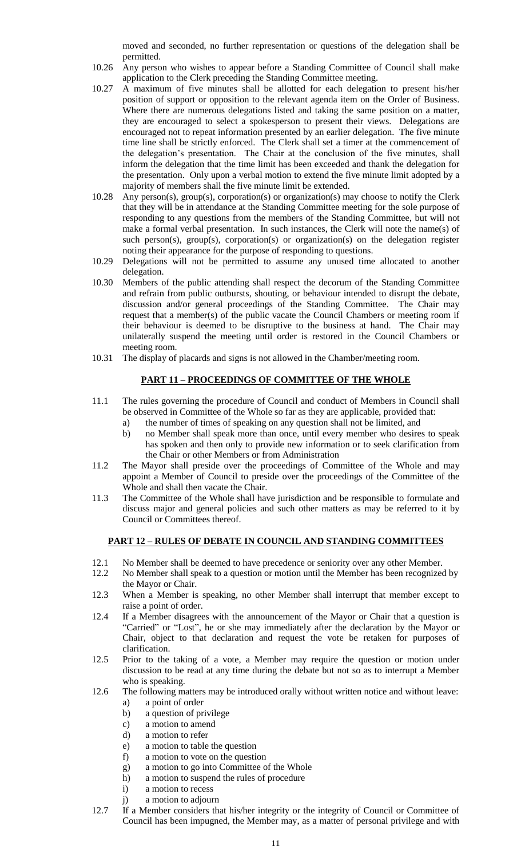moved and seconded, no further representation or questions of the delegation shall be permitted.

- 10.26 Any person who wishes to appear before a Standing Committee of Council shall make application to the Clerk preceding the Standing Committee meeting.
- 10.27 A maximum of five minutes shall be allotted for each delegation to present his/her position of support or opposition to the relevant agenda item on the Order of Business. Where there are numerous delegations listed and taking the same position on a matter, they are encouraged to select a spokesperson to present their views. Delegations are encouraged not to repeat information presented by an earlier delegation. The five minute time line shall be strictly enforced. The Clerk shall set a timer at the commencement of the delegation"s presentation. The Chair at the conclusion of the five minutes, shall inform the delegation that the time limit has been exceeded and thank the delegation for the presentation. Only upon a verbal motion to extend the five minute limit adopted by a majority of members shall the five minute limit be extended.
- 10.28 Any person(s), group(s), corporation(s) or organization(s) may choose to notify the Clerk that they will be in attendance at the Standing Committee meeting for the sole purpose of responding to any questions from the members of the Standing Committee, but will not make a formal verbal presentation. In such instances, the Clerk will note the name(s) of such person(s), group(s), corporation(s) or organization(s) on the delegation register noting their appearance for the purpose of responding to questions.
- 10.29 Delegations will not be permitted to assume any unused time allocated to another delegation.
- 10.30 Members of the public attending shall respect the decorum of the Standing Committee and refrain from public outbursts, shouting, or behaviour intended to disrupt the debate, discussion and/or general proceedings of the Standing Committee. The Chair may request that a member(s) of the public vacate the Council Chambers or meeting room if their behaviour is deemed to be disruptive to the business at hand. The Chair may unilaterally suspend the meeting until order is restored in the Council Chambers or meeting room.
- 10.31 The display of placards and signs is not allowed in the Chamber/meeting room.

# **PART 11 – PROCEEDINGS OF COMMITTEE OF THE WHOLE**

- 11.1 The rules governing the procedure of Council and conduct of Members in Council shall be observed in Committee of the Whole so far as they are applicable, provided that:
	- the number of times of speaking on any question shall not be limited, and
	- b) no Member shall speak more than once, until every member who desires to speak has spoken and then only to provide new information or to seek clarification from the Chair or other Members or from Administration
- 11.2 The Mayor shall preside over the proceedings of Committee of the Whole and may appoint a Member of Council to preside over the proceedings of the Committee of the Whole and shall then vacate the Chair.
- 11.3 The Committee of the Whole shall have jurisdiction and be responsible to formulate and discuss major and general policies and such other matters as may be referred to it by Council or Committees thereof.

## **PART 12 – RULES OF DEBATE IN COUNCIL AND STANDING COMMITTEES**

- 12.1 No Member shall be deemed to have precedence or seniority over any other Member.
- 12.2 No Member shall speak to a question or motion until the Member has been recognized by the Mayor or Chair.
- 12.3 When a Member is speaking, no other Member shall interrupt that member except to raise a point of order.
- 12.4 If a Member disagrees with the announcement of the Mayor or Chair that a question is "Carried" or "Lost", he or she may immediately after the declaration by the Mayor or Chair, object to that declaration and request the vote be retaken for purposes of clarification.
- 12.5 Prior to the taking of a vote, a Member may require the question or motion under discussion to be read at any time during the debate but not so as to interrupt a Member who is speaking.
- 12.6 The following matters may be introduced orally without written notice and without leave:
	- a) a point of order
	- b) a question of privilege
	- c) a motion to amend
	- d) a motion to refer
	- e) a motion to table the question
	- f) a motion to vote on the question
	- g) a motion to go into Committee of the Whole
	- h) a motion to suspend the rules of procedure
	- i) a motion to recess
	- j) a motion to adjourn
- 12.7 If a Member considers that his/her integrity or the integrity of Council or Committee of Council has been impugned, the Member may, as a matter of personal privilege and with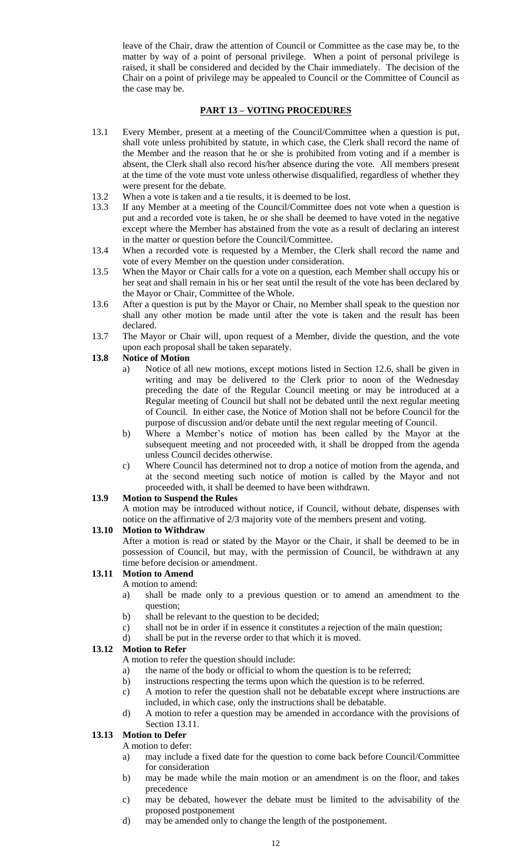leave of the Chair, draw the attention of Council or Committee as the case may be, to the matter by way of a point of personal privilege. When a point of personal privilege is raised, it shall be considered and decided by the Chair immediately. The decision of the Chair on a point of privilege may be appealed to Council or the Committee of Council as the case may be.

# **PART 13 – VOTING PROCEDURES**

- 13.1 Every Member, present at a meeting of the Council/Committee when a question is put, shall vote unless prohibited by statute, in which case, the Clerk shall record the name of the Member and the reason that he or she is prohibited from voting and if a member is absent, the Clerk shall also record his/her absence during the vote. All members present at the time of the vote must vote unless otherwise disqualified, regardless of whether they were present for the debate.
- 13.2 When a vote is taken and a tie results, it is deemed to be lost.
- 13.3 If any Member at a meeting of the Council/Committee does not vote when a question is put and a recorded vote is taken, he or she shall be deemed to have voted in the negative except where the Member has abstained from the vote as a result of declaring an interest in the matter or question before the Council/Committee.
- 13.4 When a recorded vote is requested by a Member, the Clerk shall record the name and vote of every Member on the question under consideration.
- 13.5 When the Mayor or Chair calls for a vote on a question, each Member shall occupy his or her seat and shall remain in his or her seat until the result of the vote has been declared by the Mayor or Chair, Committee of the Whole.
- 13.6 After a question is put by the Mayor or Chair, no Member shall speak to the question nor shall any other motion be made until after the vote is taken and the result has been declared.
- 13.7 The Mayor or Chair will, upon request of a Member, divide the question, and the vote upon each proposal shall be taken separately.

## **13.8 Notice of Motion**

- a) Notice of all new motions, except motions listed in Section 12.6, shall be given in writing and may be delivered to the Clerk prior to noon of the Wednesday preceding the date of the Regular Council meeting or may be introduced at a Regular meeting of Council but shall not be debated until the next regular meeting of Council. In either case, the Notice of Motion shall not be before Council for the purpose of discussion and/or debate until the next regular meeting of Council.
- b) Where a Member"s notice of motion has been called by the Mayor at the subsequent meeting and not proceeded with, it shall be dropped from the agenda unless Council decides otherwise.
- c) Where Council has determined not to drop a notice of motion from the agenda, and at the second meeting such notice of motion is called by the Mayor and not proceeded with, it shall be deemed to have been withdrawn.

# **13.9 Motion to Suspend the Rules**

A motion may be introduced without notice, if Council, without debate, dispenses with notice on the affirmative of 2/3 majority vote of the members present and voting.

## **13.10 Motion to Withdraw**

After a motion is read or stated by the Mayor or the Chair, it shall be deemed to be in possession of Council, but may, with the permission of Council, be withdrawn at any time before decision or amendment.

# **13.11 Motion to Amend**

- A motion to amend:
- a) shall be made only to a previous question or to amend an amendment to the question;
- b) shall be relevant to the question to be decided;
- c) shall not be in order if in essence it constitutes a rejection of the main question;
- d) shall be put in the reverse order to that which it is moved.

# **13.12 Motion to Refer**

A motion to refer the question should include:

- a) the name of the body or official to whom the question is to be referred;
- b) instructions respecting the terms upon which the question is to be referred.
- c) A motion to refer the question shall not be debatable except where instructions are included, in which case, only the instructions shall be debatable.
- d) A motion to refer a question may be amended in accordance with the provisions of Section 13.11.

# **13.13 Motion to Defer**

A motion to defer:

- a) may include a fixed date for the question to come back before Council/Committee for consideration
- b) may be made while the main motion or an amendment is on the floor, and takes precedence
- c) may be debated, however the debate must be limited to the advisability of the proposed postponement
- d) may be amended only to change the length of the postponement.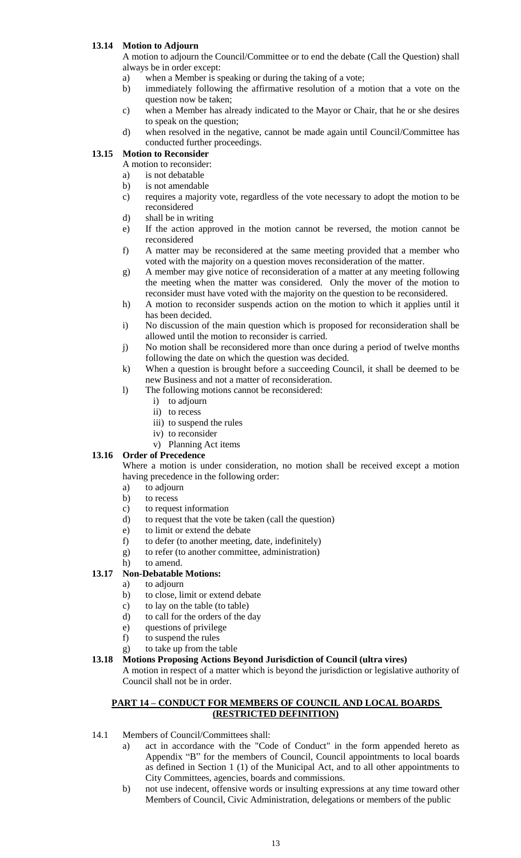## **13.14 Motion to Adjourn**

A motion to adjourn the Council/Committee or to end the debate (Call the Question) shall always be in order except:

- a) when a Member is speaking or during the taking of a vote;
- b) immediately following the affirmative resolution of a motion that a vote on the question now be taken;
- c) when a Member has already indicated to the Mayor or Chair, that he or she desires to speak on the question;
- d) when resolved in the negative, cannot be made again until Council/Committee has conducted further proceedings.

## **13.15 Motion to Reconsider**

A motion to reconsider:

- a) is not debatable
- b) is not amendable
- c) requires a majority vote, regardless of the vote necessary to adopt the motion to be reconsidered
- d) shall be in writing
- e) If the action approved in the motion cannot be reversed, the motion cannot be reconsidered
- f) A matter may be reconsidered at the same meeting provided that a member who voted with the majority on a question moves reconsideration of the matter.
- g) A member may give notice of reconsideration of a matter at any meeting following the meeting when the matter was considered. Only the mover of the motion to reconsider must have voted with the majority on the question to be reconsidered.
- h) A motion to reconsider suspends action on the motion to which it applies until it has been decided.
- i) No discussion of the main question which is proposed for reconsideration shall be allowed until the motion to reconsider is carried.
- j) No motion shall be reconsidered more than once during a period of twelve months following the date on which the question was decided.
- k) When a question is brought before a succeeding Council, it shall be deemed to be new Business and not a matter of reconsideration.
- l) The following motions cannot be reconsidered:
	- i) to adjourn
	- ii) to recess
	- iii) to suspend the rules
	- iv) to reconsider
	- v) Planning Act items

## **13.16 Order of Precedence**

Where a motion is under consideration, no motion shall be received except a motion having precedence in the following order:

- a) to adjourn
- b) to recess
- c) to request information
- d) to request that the vote be taken (call the question)
- e) to limit or extend the debate
- f) to defer (to another meeting, date, indefinitely)
- g) to refer (to another committee, administration)
- h) to amend.

## **13.17 Non-Debatable Motions:**

- a) to adjourn
- b) to close, limit or extend debate
- c) to lay on the table (to table)
- d) to call for the orders of the day
- e) questions of privilege
- f) to suspend the rules
- g) to take up from the table

#### **13.18 Motions Proposing Actions Beyond Jurisdiction of Council (ultra vires)**

A motion in respect of a matter which is beyond the jurisdiction or legislative authority of Council shall not be in order.

## **PART 14 – CONDUCT FOR MEMBERS OF COUNCIL AND LOCAL BOARDS (RESTRICTED DEFINITION)**

- 14.1 Members of Council/Committees shall:
	- a) act in accordance with the "Code of Conduct" in the form appended hereto as Appendix "B" for the members of Council, Council appointments to local boards as defined in Section 1 (1) of the Municipal Act, and to all other appointments to City Committees, agencies, boards and commissions.
	- b) not use indecent, offensive words or insulting expressions at any time toward other Members of Council, Civic Administration, delegations or members of the public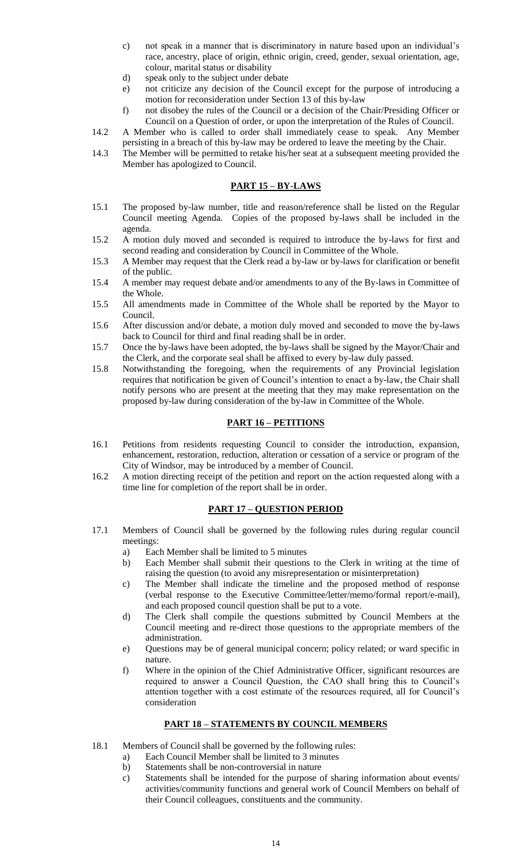- c) not speak in a manner that is discriminatory in nature based upon an individual"s race, ancestry, place of origin, ethnic origin, creed, gender, sexual orientation, age, colour, marital status or disability
- d) speak only to the subject under debate
- e) not criticize any decision of the Council except for the purpose of introducing a motion for reconsideration under Section 13 of this by-law
- f) not disobey the rules of the Council or a decision of the Chair/Presiding Officer or Council on a Question of order, or upon the interpretation of the Rules of Council.
- 14.2 A Member who is called to order shall immediately cease to speak. Any Member persisting in a breach of this by-law may be ordered to leave the meeting by the Chair.
- 14.3 The Member will be permitted to retake his/her seat at a subsequent meeting provided the Member has apologized to Council.

## **PART 15 – BY-LAWS**

- 15.1 The proposed by-law number, title and reason/reference shall be listed on the Regular Council meeting Agenda. Copies of the proposed by-laws shall be included in the agenda.
- 15.2 A motion duly moved and seconded is required to introduce the by-laws for first and second reading and consideration by Council in Committee of the Whole.
- 15.3 A Member may request that the Clerk read a by-law or by-laws for clarification or benefit of the public.
- 15.4 A member may request debate and/or amendments to any of the By-laws in Committee of the Whole.
- 15.5 All amendments made in Committee of the Whole shall be reported by the Mayor to Council.
- 15.6 After discussion and/or debate, a motion duly moved and seconded to move the by-laws back to Council for third and final reading shall be in order.
- 15.7 Once the by-laws have been adopted, the by-laws shall be signed by the Mayor/Chair and the Clerk, and the corporate seal shall be affixed to every by-law duly passed.
- 15.8 Notwithstanding the foregoing, when the requirements of any Provincial legislation requires that notification be given of Council"s intention to enact a by-law, the Chair shall notify persons who are present at the meeting that they may make representation on the proposed by-law during consideration of the by-law in Committee of the Whole.

## **PART 16 – PETITIONS**

- 16.1 Petitions from residents requesting Council to consider the introduction, expansion, enhancement, restoration, reduction, alteration or cessation of a service or program of the City of Windsor, may be introduced by a member of Council.
- 16.2 A motion directing receipt of the petition and report on the action requested along with a time line for completion of the report shall be in order.

## **PART 17 – QUESTION PERIOD**

- 17.1 Members of Council shall be governed by the following rules during regular council meetings:
	- a) Each Member shall be limited to 5 minutes
	- b) Each Member shall submit their questions to the Clerk in writing at the time of raising the question (to avoid any misrepresentation or misinterpretation)
	- c) The Member shall indicate the timeline and the proposed method of response (verbal response to the Executive Committee/letter/memo/formal report/e-mail), and each proposed council question shall be put to a vote.
	- d) The Clerk shall compile the questions submitted by Council Members at the Council meeting and re-direct those questions to the appropriate members of the administration.
	- e) Questions may be of general municipal concern; policy related; or ward specific in nature.
	- f) Where in the opinion of the Chief Administrative Officer, significant resources are required to answer a Council Question, the CAO shall bring this to Council"s attention together with a cost estimate of the resources required, all for Council"s consideration

## **PART 18 – STATEMENTS BY COUNCIL MEMBERS**

- 18.1 Members of Council shall be governed by the following rules:
	- a) Each Council Member shall be limited to 3 minutes
	- b) Statements shall be non-controversial in nature
	- c) Statements shall be intended for the purpose of sharing information about events/ activities/community functions and general work of Council Members on behalf of their Council colleagues, constituents and the community.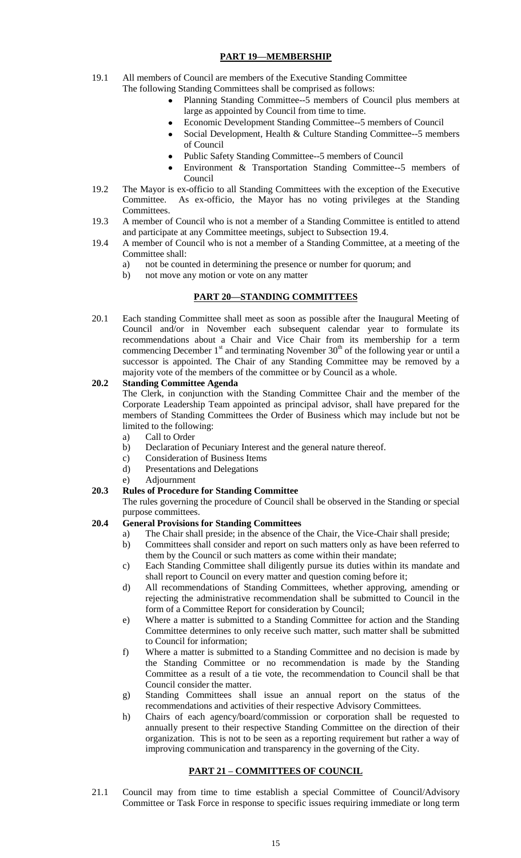# **PART 19—MEMBERSHIP**

- 19.1 All members of Council are members of the Executive Standing Committee The following Standing Committees shall be comprised as follows:
	- Planning Standing Committee--5 members of Council plus members at large as appointed by Council from time to time.
	- Economic Development Standing Committee--5 members of Council
	- Social Development, Health & Culture Standing Committee--5 members of Council
	- Public Safety Standing Committee--5 members of Council  $\bullet$
	- Environment & Transportation Standing Committee--5 members of Council
- 19.2 The Mayor is ex-officio to all Standing Committees with the exception of the Executive Committee. As ex-officio, the Mayor has no voting privileges at the Standing Committees.
- 19.3 A member of Council who is not a member of a Standing Committee is entitled to attend and participate at any Committee meetings, subject to Subsection 19.4.
- 19.4 A member of Council who is not a member of a Standing Committee, at a meeting of the Committee shall:
	- a) not be counted in determining the presence or number for quorum; and
	- b) not move any motion or vote on any matter

# **PART 20—STANDING COMMITTEES**

20.1 Each standing Committee shall meet as soon as possible after the Inaugural Meeting of Council and/or in November each subsequent calendar year to formulate its recommendations about a Chair and Vice Chair from its membership for a term commencing December  $1<sup>st</sup>$  and terminating November  $30<sup>th</sup>$  of the following year or until a successor is appointed. The Chair of any Standing Committee may be removed by a majority vote of the members of the committee or by Council as a whole.

# **20.2 Standing Committee Agenda**

The Clerk, in conjunction with the Standing Committee Chair and the member of the Corporate Leadership Team appointed as principal advisor, shall have prepared for the members of Standing Committees the Order of Business which may include but not be limited to the following:

- a) Call to Order
- b) Declaration of Pecuniary Interest and the general nature thereof.
- c) Consideration of Business Items
- d) Presentations and Delegations
- e) Adjournment

# **20.3 Rules of Procedure for Standing Committee**

The rules governing the procedure of Council shall be observed in the Standing or special purpose committees.

# **20.4 General Provisions for Standing Committees**

- a) The Chair shall preside; in the absence of the Chair, the Vice-Chair shall preside;
- b) Committees shall consider and report on such matters only as have been referred to them by the Council or such matters as come within their mandate;
- c) Each Standing Committee shall diligently pursue its duties within its mandate and shall report to Council on every matter and question coming before it;
- d) All recommendations of Standing Committees, whether approving, amending or rejecting the administrative recommendation shall be submitted to Council in the form of a Committee Report for consideration by Council;
- e) Where a matter is submitted to a Standing Committee for action and the Standing Committee determines to only receive such matter, such matter shall be submitted to Council for information;
- f) Where a matter is submitted to a Standing Committee and no decision is made by the Standing Committee or no recommendation is made by the Standing Committee as a result of a tie vote, the recommendation to Council shall be that Council consider the matter.
- g) Standing Committees shall issue an annual report on the status of the recommendations and activities of their respective Advisory Committees.
- h) Chairs of each agency/board/commission or corporation shall be requested to annually present to their respective Standing Committee on the direction of their organization. This is not to be seen as a reporting requirement but rather a way of improving communication and transparency in the governing of the City.

# **PART 21 – COMMITTEES OF COUNCIL**

21.1 Council may from time to time establish a special Committee of Council/Advisory Committee or Task Force in response to specific issues requiring immediate or long term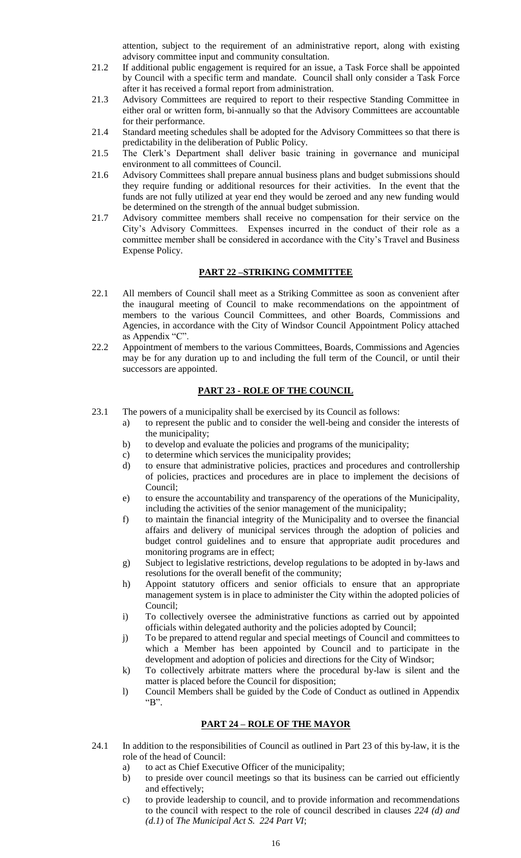attention, subject to the requirement of an administrative report, along with existing advisory committee input and community consultation.

- 21.2 If additional public engagement is required for an issue, a Task Force shall be appointed by Council with a specific term and mandate. Council shall only consider a Task Force after it has received a formal report from administration.
- 21.3 Advisory Committees are required to report to their respective Standing Committee in either oral or written form, bi-annually so that the Advisory Committees are accountable for their performance.
- 21.4 Standard meeting schedules shall be adopted for the Advisory Committees so that there is predictability in the deliberation of Public Policy.
- 21.5 The Clerk"s Department shall deliver basic training in governance and municipal environment to all committees of Council.
- 21.6 Advisory Committees shall prepare annual business plans and budget submissions should they require funding or additional resources for their activities. In the event that the funds are not fully utilized at year end they would be zeroed and any new funding would be determined on the strength of the annual budget submission.
- 21.7 Advisory committee members shall receive no compensation for their service on the City"s Advisory Committees. Expenses incurred in the conduct of their role as a committee member shall be considered in accordance with the City's Travel and Business Expense Policy.

## **PART 22 –STRIKING COMMITTEE**

- 22.1 All members of Council shall meet as a Striking Committee as soon as convenient after the inaugural meeting of Council to make recommendations on the appointment of members to the various Council Committees, and other Boards, Commissions and Agencies, in accordance with the City of Windsor Council Appointment Policy attached as Appendix "C".
- 22.2 Appointment of members to the various Committees, Boards, Commissions and Agencies may be for any duration up to and including the full term of the Council, or until their successors are appointed.

## **PART 23 - ROLE OF THE COUNCIL**

- 23.1 The powers of a municipality shall be exercised by its Council as follows:
	- a) to represent the public and to consider the well-being and consider the interests of the municipality;
	- b) to develop and evaluate the policies and programs of the municipality;
	- c) to determine which services the municipality provides;
	- d) to ensure that administrative policies, practices and procedures and controllership of policies, practices and procedures are in place to implement the decisions of Council;
	- e) to ensure the accountability and transparency of the operations of the Municipality, including the activities of the senior management of the municipality;
	- f) to maintain the financial integrity of the Municipality and to oversee the financial affairs and delivery of municipal services through the adoption of policies and budget control guidelines and to ensure that appropriate audit procedures and monitoring programs are in effect;
	- g) Subject to legislative restrictions, develop regulations to be adopted in by-laws and resolutions for the overall benefit of the community;
	- h) Appoint statutory officers and senior officials to ensure that an appropriate management system is in place to administer the City within the adopted policies of Council;
	- i) To collectively oversee the administrative functions as carried out by appointed officials within delegated authority and the policies adopted by Council;
	- j) To be prepared to attend regular and special meetings of Council and committees to which a Member has been appointed by Council and to participate in the development and adoption of policies and directions for the City of Windsor;
	- k) To collectively arbitrate matters where the procedural by-law is silent and the matter is placed before the Council for disposition;
	- l) Council Members shall be guided by the Code of Conduct as outlined in Appendix "B".

# **PART 24 – ROLE OF THE MAYOR**

- 24.1 In addition to the responsibilities of Council as outlined in Part 23 of this by-law, it is the role of the head of Council:
	- a) to act as Chief Executive Officer of the municipality;
	- b) to preside over council meetings so that its business can be carried out efficiently and effectively;
	- c) to provide leadership to council, and to provide information and recommendations to the council with respect to the role of council described in clauses *224 (d) and (d.1)* of *The Municipal Act S. 224 Part VI*;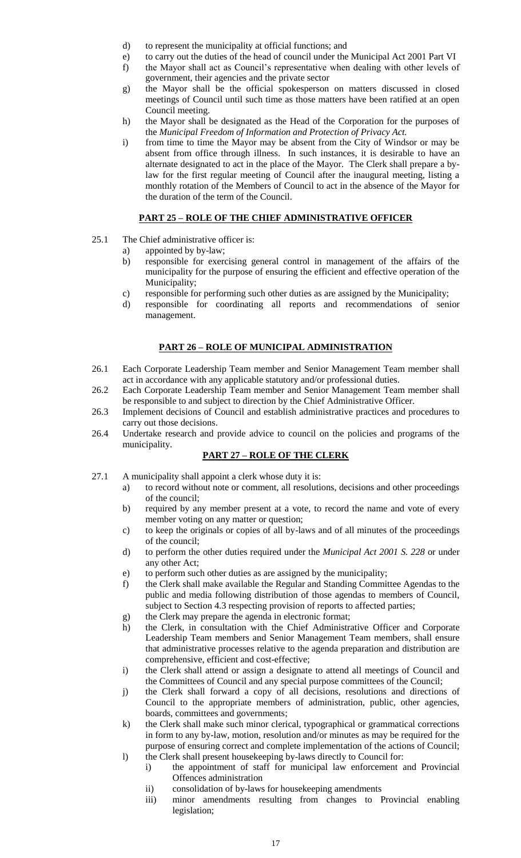- d) to represent the municipality at official functions; and
- e) to carry out the duties of the head of council under the Municipal Act 2001 Part VI
- f) the Mayor shall act as Council"s representative when dealing with other levels of government, their agencies and the private sector
- g) the Mayor shall be the official spokesperson on matters discussed in closed meetings of Council until such time as those matters have been ratified at an open Council meeting.
- h) the Mayor shall be designated as the Head of the Corporation for the purposes of the *Municipal Freedom of Information and Protection of Privacy Act.*
- i) from time to time the Mayor may be absent from the City of Windsor or may be absent from office through illness. In such instances, it is desirable to have an alternate designated to act in the place of the Mayor. The Clerk shall prepare a bylaw for the first regular meeting of Council after the inaugural meeting, listing a monthly rotation of the Members of Council to act in the absence of the Mayor for the duration of the term of the Council.

# **PART 25 – ROLE OF THE CHIEF ADMINISTRATIVE OFFICER**

- 25.1 The Chief administrative officer is:
	- a) appointed by by-law;
	- b) responsible for exercising general control in management of the affairs of the municipality for the purpose of ensuring the efficient and effective operation of the Municipality;
	- c) responsible for performing such other duties as are assigned by the Municipality;
	- d) responsible for coordinating all reports and recommendations of senior management.

# **PART 26 – ROLE OF MUNICIPAL ADMINISTRATION**

- 26.1 Each Corporate Leadership Team member and Senior Management Team member shall act in accordance with any applicable statutory and/or professional duties.
- 26.2 Each Corporate Leadership Team member and Senior Management Team member shall be responsible to and subject to direction by the Chief Administrative Officer.
- 26.3 Implement decisions of Council and establish administrative practices and procedures to carry out those decisions.
- 26.4 Undertake research and provide advice to council on the policies and programs of the municipality.

# **PART 27 – ROLE OF THE CLERK**

- 27.1 A municipality shall appoint a clerk whose duty it is:
	- a) to record without note or comment, all resolutions, decisions and other proceedings of the council;
	- b) required by any member present at a vote, to record the name and vote of every member voting on any matter or question;
	- c) to keep the originals or copies of all by-laws and of all minutes of the proceedings of the council;
	- d) to perform the other duties required under the *Municipal Act 2001 S. 228* or under any other Act;
	- e) to perform such other duties as are assigned by the municipality;
	- f) the Clerk shall make available the Regular and Standing Committee Agendas to the public and media following distribution of those agendas to members of Council, subject to Section 4.3 respecting provision of reports to affected parties;
	- g) the Clerk may prepare the agenda in electronic format;
	- h) the Clerk, in consultation with the Chief Administrative Officer and Corporate Leadership Team members and Senior Management Team members, shall ensure that administrative processes relative to the agenda preparation and distribution are comprehensive, efficient and cost-effective;
	- i) the Clerk shall attend or assign a designate to attend all meetings of Council and the Committees of Council and any special purpose committees of the Council;
	- j) the Clerk shall forward a copy of all decisions, resolutions and directions of Council to the appropriate members of administration, public, other agencies, boards, committees and governments;
	- k) the Clerk shall make such minor clerical, typographical or grammatical corrections in form to any by-law, motion, resolution and/or minutes as may be required for the purpose of ensuring correct and complete implementation of the actions of Council; l) the Clerk shall present housekeeping by-laws directly to Council for:
		- i) the appointment of staff for municipal law enforcement and Provincial Offences administration
			- ii) consolidation of by-laws for housekeeping amendments
			- iii) minor amendments resulting from changes to Provincial enabling legislation;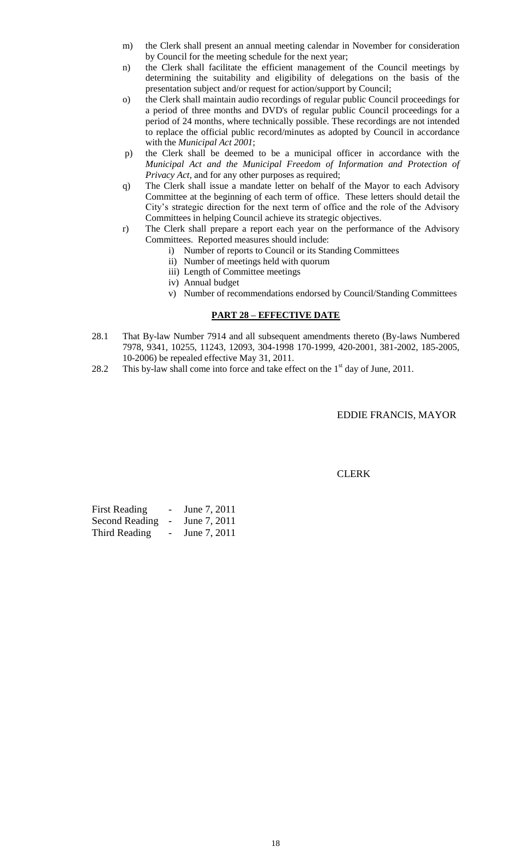- m) the Clerk shall present an annual meeting calendar in November for consideration by Council for the meeting schedule for the next year;
- n) the Clerk shall facilitate the efficient management of the Council meetings by determining the suitability and eligibility of delegations on the basis of the presentation subject and/or request for action/support by Council;
- o) the Clerk shall maintain audio recordings of regular public Council proceedings for a period of three months and DVD's of regular public Council proceedings for a period of 24 months, where technically possible. These recordings are not intended to replace the official public record/minutes as adopted by Council in accordance with the *Municipal Act 2001*;
- p) the Clerk shall be deemed to be a municipal officer in accordance with the *Municipal Act and the Municipal Freedom of Information and Protection of Privacy Act*, and for any other purposes as required;
- q) The Clerk shall issue a mandate letter on behalf of the Mayor to each Advisory Committee at the beginning of each term of office. These letters should detail the City"s strategic direction for the next term of office and the role of the Advisory Committees in helping Council achieve its strategic objectives.
- r) The Clerk shall prepare a report each year on the performance of the Advisory Committees. Reported measures should include:
	- i) Number of reports to Council or its Standing Committees
	- ii) Number of meetings held with quorum
	- iii) Length of Committee meetings
	- iv) Annual budget
	- v) Number of recommendations endorsed by Council/Standing Committees

## **PART 28 – EFFECTIVE DATE**

- 28.1 That By-law Number 7914 and all subsequent amendments thereto (By-laws Numbered 7978, 9341, 10255, 11243, 12093, 304-1998 170-1999, 420-2001, 381-2002, 185-2005, 10-2006) be repealed effective May 31, 2011.
- 28.2 This by-law shall come into force and take effect on the  $1<sup>st</sup>$  day of June, 2011.

EDDIE FRANCIS, MAYOR

CLERK

| <b>First Reading</b>  | June 7, 2011 |
|-----------------------|--------------|
| <b>Second Reading</b> | June 7, 2011 |
| Third Reading         | June 7, 2011 |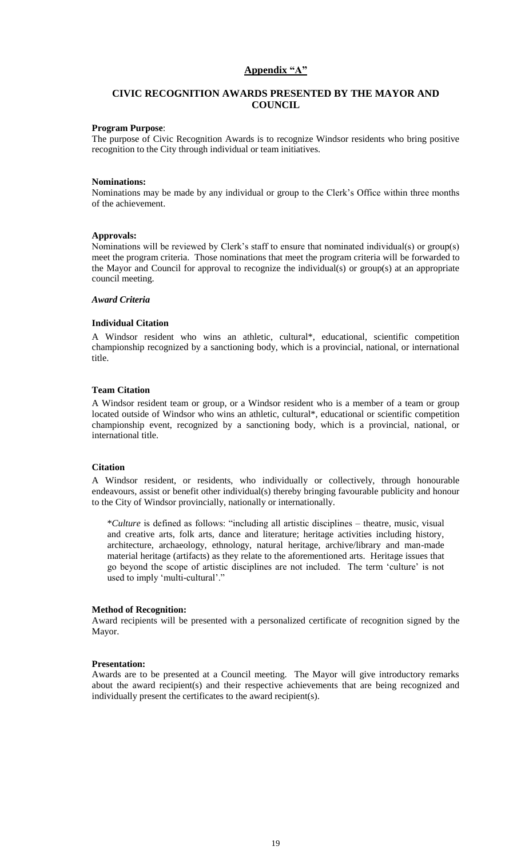## Appendix "A"

# **CIVIC RECOGNITION AWARDS PRESENTED BY THE MAYOR AND COUNCIL**

#### **Program Purpose**:

The purpose of Civic Recognition Awards is to recognize Windsor residents who bring positive recognition to the City through individual or team initiatives.

#### **Nominations:**

Nominations may be made by any individual or group to the Clerk"s Office within three months of the achievement.

#### **Approvals:**

Nominations will be reviewed by Clerk"s staff to ensure that nominated individual(s) or group(s) meet the program criteria. Those nominations that meet the program criteria will be forwarded to the Mayor and Council for approval to recognize the individual(s) or group(s) at an appropriate council meeting.

#### *Award Criteria*

#### **Individual Citation**

A Windsor resident who wins an athletic, cultural\*, educational, scientific competition championship recognized by a sanctioning body, which is a provincial, national, or international title.

#### **Team Citation**

A Windsor resident team or group, or a Windsor resident who is a member of a team or group located outside of Windsor who wins an athletic, cultural\*, educational or scientific competition championship event, recognized by a sanctioning body, which is a provincial, national, or international title.

#### **Citation**

A Windsor resident, or residents, who individually or collectively, through honourable endeavours, assist or benefit other individual(s) thereby bringing favourable publicity and honour to the City of Windsor provincially, nationally or internationally.

\**Culture* is defined as follows: "including all artistic disciplines – theatre, music, visual and creative arts, folk arts, dance and literature; heritage activities including history, architecture, archaeology, ethnology, natural heritage, archive/library and man-made material heritage (artifacts) as they relate to the aforementioned arts. Heritage issues that go beyond the scope of artistic disciplines are not included. The term "culture" is not used to imply 'multi-cultural'."

#### **Method of Recognition:**

Award recipients will be presented with a personalized certificate of recognition signed by the Mayor.

#### **Presentation:**

Awards are to be presented at a Council meeting. The Mayor will give introductory remarks about the award recipient(s) and their respective achievements that are being recognized and individually present the certificates to the award recipient(s).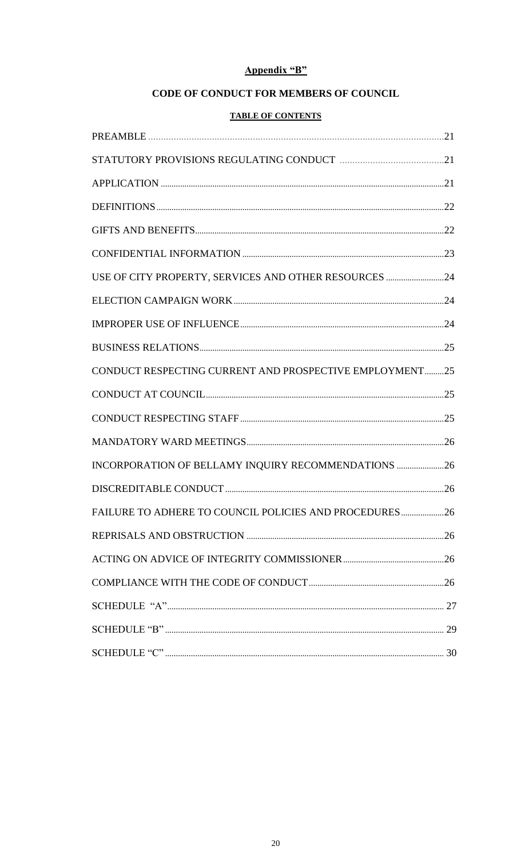# Appendix "B"

# CODE OF CONDUCT FOR MEMBERS OF COUNCIL

# **TABLE OF CONTENTS**

| USE OF CITY PROPERTY, SERVICES AND OTHER RESOURCES 24   |  |
|---------------------------------------------------------|--|
|                                                         |  |
|                                                         |  |
|                                                         |  |
| CONDUCT RESPECTING CURRENT AND PROSPECTIVE EMPLOYMENT25 |  |
|                                                         |  |
|                                                         |  |
|                                                         |  |
| INCORPORATION OF BELLAMY INQUIRY RECOMMENDATIONS 26     |  |
|                                                         |  |
| FAILURE TO ADHERE TO COUNCIL POLICIES AND PROCEDURES 26 |  |
|                                                         |  |
|                                                         |  |
|                                                         |  |
|                                                         |  |
|                                                         |  |
|                                                         |  |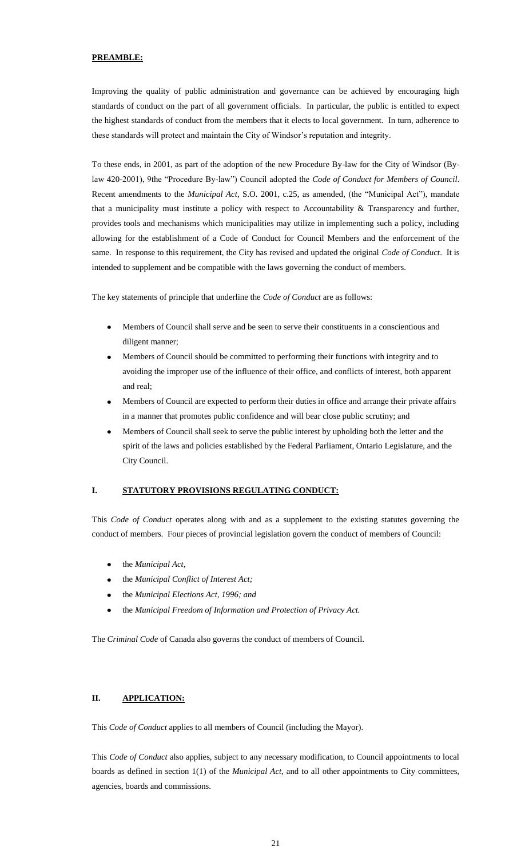#### **PREAMBLE:**

Improving the quality of public administration and governance can be achieved by encouraging high standards of conduct on the part of all government officials. In particular, the public is entitled to expect the highest standards of conduct from the members that it elects to local government. In turn, adherence to these standards will protect and maintain the City of Windsor's reputation and integrity.

To these ends, in 2001, as part of the adoption of the new Procedure By-law for the City of Windsor (Bylaw 420-2001), 9the "Procedure By-law") Council adopted the *Code of Conduct for Members of Council*. Recent amendments to the *Municipal Act*, S.O. 2001, c.25, as amended*,* (the "Municipal Act"), mandate that a municipality must institute a policy with respect to Accountability  $&$  Transparency and further, provides tools and mechanisms which municipalities may utilize in implementing such a policy, including allowing for the establishment of a Code of Conduct for Council Members and the enforcement of the same. In response to this requirement, the City has revised and updated the original *Code of Conduct*. It is intended to supplement and be compatible with the laws governing the conduct of members.

The key statements of principle that underline the *Code of Conduct* are as follows:

- Members of Council shall serve and be seen to serve their constituents in a conscientious and  $\bullet$ diligent manner;
- Members of Council should be committed to performing their functions with integrity and to  $\bullet$ avoiding the improper use of the influence of their office, and conflicts of interest, both apparent and real;
- Members of Council are expected to perform their duties in office and arrange their private affairs in a manner that promotes public confidence and will bear close public scrutiny; and
- Members of Council shall seek to serve the public interest by upholding both the letter and the spirit of the laws and policies established by the Federal Parliament, Ontario Legislature, and the City Council.

## **I. STATUTORY PROVISIONS REGULATING CONDUCT:**

This *Code of Conduct* operates along with and as a supplement to the existing statutes governing the conduct of members. Four pieces of provincial legislation govern the conduct of members of Council:

- the *Municipal Act,*
- the *Municipal Conflict of Interest Act;*
- the *Municipal Elections Act, 1996; and*
- the *Municipal Freedom of Information and Protection of Privacy Act.*  $\bullet$

The *Criminal Code* of Canada also governs the conduct of members of Council.

## **II. APPLICATION:**

This *Code of Conduct* applies to all members of Council (including the Mayor).

This *Code of Conduct* also applies, subject to any necessary modification, to Council appointments to local boards as defined in section 1(1) of the *Municipal Act,* and to all other appointments to City committees, agencies, boards and commissions.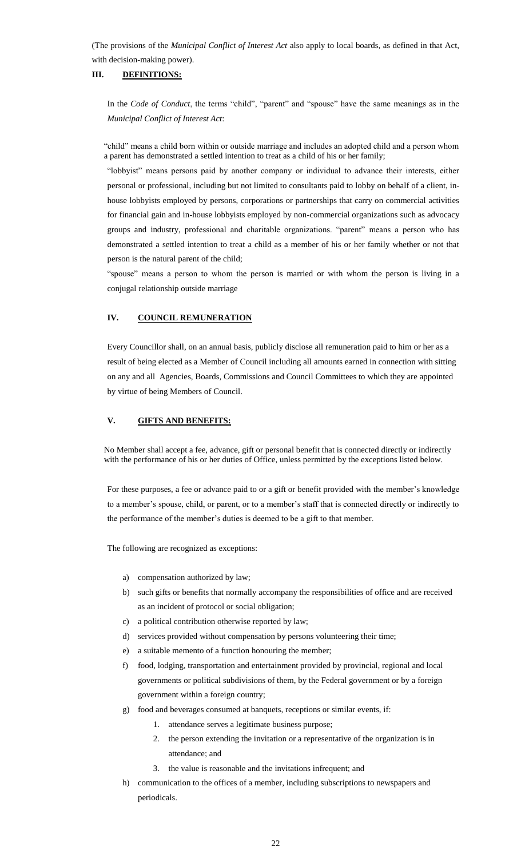(The provisions of the *Municipal Conflict of Interest Act* also apply to local boards, as defined in that Act, with decision-making power).

## **III. DEFINITIONS:**

In the *Code of Conduct*, the terms "child", "parent" and "spouse" have the same meanings as in the *Municipal Conflict of Interest Act*:

"child" means a child born within or outside marriage and includes an adopted child and a person whom a parent has demonstrated a settled intention to treat as a child of his or her family;

"lobbyist" means persons paid by another company or individual to advance their interests, either personal or professional, including but not limited to consultants paid to lobby on behalf of a client, inhouse lobbyists employed by persons, corporations or partnerships that carry on commercial activities for financial gain and in-house lobbyists employed by non-commercial organizations such as advocacy groups and industry, professional and charitable organizations. "parent" means a person who has demonstrated a settled intention to treat a child as a member of his or her family whether or not that person is the natural parent of the child;

"spouse" means a person to whom the person is married or with whom the person is living in a conjugal relationship outside marriage

#### **IV. COUNCIL REMUNERATION**

Every Councillor shall, on an annual basis, publicly disclose all remuneration paid to him or her as a result of being elected as a Member of Council including all amounts earned in connection with sitting on any and all Agencies, Boards, Commissions and Council Committees to which they are appointed by virtue of being Members of Council.

#### **V. GIFTS AND BENEFITS:**

No Member shall accept a fee, advance, gift or personal benefit that is connected directly or indirectly with the performance of his or her duties of Office, unless permitted by the exceptions listed below.

For these purposes, a fee or advance paid to or a gift or benefit provided with the member"s knowledge to a member's spouse, child, or parent, or to a member's staff that is connected directly or indirectly to the performance of the member's duties is deemed to be a gift to that member.

The following are recognized as exceptions:

- a) compensation authorized by law;
- b) such gifts or benefits that normally accompany the responsibilities of office and are received as an incident of protocol or social obligation;
- c) a political contribution otherwise reported by law;
- d) services provided without compensation by persons volunteering their time;
- e) a suitable memento of a function honouring the member;
- f) food, lodging, transportation and entertainment provided by provincial, regional and local governments or political subdivisions of them, by the Federal government or by a foreign government within a foreign country;
- g) food and beverages consumed at banquets, receptions or similar events, if:
	- 1. attendance serves a legitimate business purpose;
	- 2. the person extending the invitation or a representative of the organization is in attendance; and
	- 3. the value is reasonable and the invitations infrequent; and
- h) communication to the offices of a member, including subscriptions to newspapers and periodicals.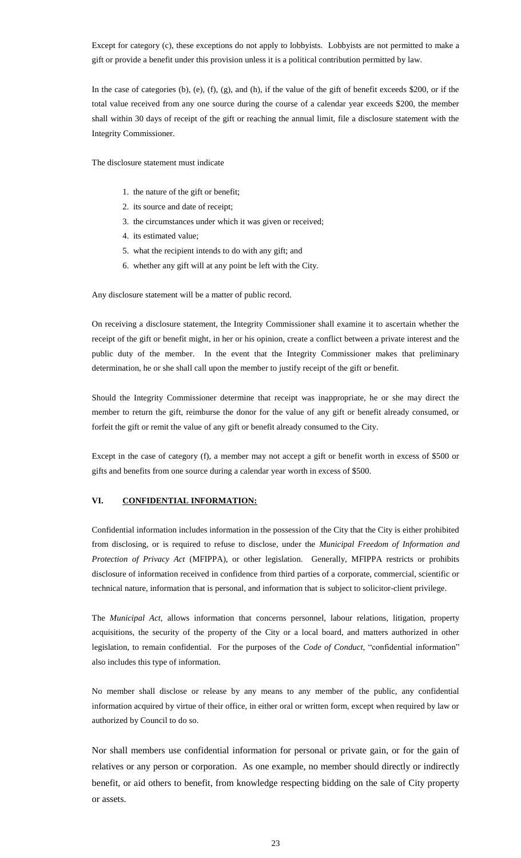Except for category (c), these exceptions do not apply to lobbyists. Lobbyists are not permitted to make a gift or provide a benefit under this provision unless it is a political contribution permitted by law.

In the case of categories (b), (e), (f), (g), and (h), if the value of the gift of benefit exceeds \$200, or if the total value received from any one source during the course of a calendar year exceeds \$200, the member shall within 30 days of receipt of the gift or reaching the annual limit, file a disclosure statement with the Integrity Commissioner.

The disclosure statement must indicate

- 1. the nature of the gift or benefit;
- 2. its source and date of receipt;
- 3. the circumstances under which it was given or received;
- 4. its estimated value;
- 5. what the recipient intends to do with any gift; and
- 6. whether any gift will at any point be left with the City.

Any disclosure statement will be a matter of public record.

On receiving a disclosure statement, the Integrity Commissioner shall examine it to ascertain whether the receipt of the gift or benefit might, in her or his opinion, create a conflict between a private interest and the public duty of the member. In the event that the Integrity Commissioner makes that preliminary determination, he or she shall call upon the member to justify receipt of the gift or benefit.

Should the Integrity Commissioner determine that receipt was inappropriate, he or she may direct the member to return the gift, reimburse the donor for the value of any gift or benefit already consumed, or forfeit the gift or remit the value of any gift or benefit already consumed to the City.

Except in the case of category (f), a member may not accept a gift or benefit worth in excess of \$500 or gifts and benefits from one source during a calendar year worth in excess of \$500.

#### **VI. CONFIDENTIAL INFORMATION:**

Confidential information includes information in the possession of the City that the City is either prohibited from disclosing, or is required to refuse to disclose, under the *Municipal Freedom of Information and Protection of Privacy Act* (MFIPPA), or other legislation. Generally, MFIPPA restricts or prohibits disclosure of information received in confidence from third parties of a corporate, commercial, scientific or technical nature, information that is personal, and information that is subject to solicitor-client privilege.

The *Municipal Act,* allows information that concerns personnel, labour relations, litigation, property acquisitions, the security of the property of the City or a local board, and matters authorized in other legislation, to remain confidential. For the purposes of the *Code of Conduct*, "confidential information" also includes this type of information.

No member shall disclose or release by any means to any member of the public, any confidential information acquired by virtue of their office, in either oral or written form, except when required by law or authorized by Council to do so.

Nor shall members use confidential information for personal or private gain, or for the gain of relatives or any person or corporation. As one example, no member should directly or indirectly benefit, or aid others to benefit, from knowledge respecting bidding on the sale of City property or assets.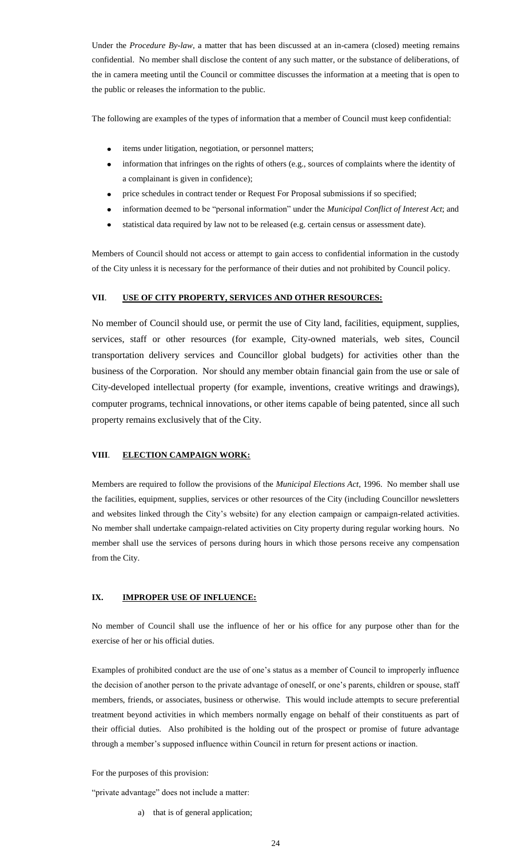Under the *Procedure By-law,* a matter that has been discussed at an in-camera (closed) meeting remains confidential. No member shall disclose the content of any such matter, or the substance of deliberations, of the in camera meeting until the Council or committee discusses the information at a meeting that is open to the public or releases the information to the public.

The following are examples of the types of information that a member of Council must keep confidential:

- items under litigation, negotiation, or personnel matters;  $\bullet$
- information that infringes on the rights of others (e.g., sources of complaints where the identity of  $\bullet$ a complainant is given in confidence);
- price schedules in contract tender or Request For Proposal submissions if so specified;
- information deemed to be "personal information" under the *Municipal Conflict of Interest Act*; and
- statistical data required by law not to be released (e.g. certain census or assessment date).  $\bullet$

Members of Council should not access or attempt to gain access to confidential information in the custody of the City unless it is necessary for the performance of their duties and not prohibited by Council policy.

#### **VII**. **USE OF CITY PROPERTY, SERVICES AND OTHER RESOURCES:**

No member of Council should use, or permit the use of City land, facilities, equipment, supplies, services, staff or other resources (for example, City-owned materials, web sites, Council transportation delivery services and Councillor global budgets) for activities other than the business of the Corporation. Nor should any member obtain financial gain from the use or sale of City-developed intellectual property (for example, inventions, creative writings and drawings), computer programs, technical innovations, or other items capable of being patented, since all such property remains exclusively that of the City.

#### **VIII**. **ELECTION CAMPAIGN WORK:**

Members are required to follow the provisions of the *Municipal Elections Act*, 1996. No member shall use the facilities, equipment, supplies, services or other resources of the City (including Councillor newsletters and websites linked through the City's website) for any election campaign or campaign-related activities. No member shall undertake campaign-related activities on City property during regular working hours. No member shall use the services of persons during hours in which those persons receive any compensation from the City.

#### **IX. IMPROPER USE OF INFLUENCE:**

No member of Council shall use the influence of her or his office for any purpose other than for the exercise of her or his official duties.

Examples of prohibited conduct are the use of one"s status as a member of Council to improperly influence the decision of another person to the private advantage of oneself, or one"s parents, children or spouse, staff members, friends, or associates, business or otherwise. This would include attempts to secure preferential treatment beyond activities in which members normally engage on behalf of their constituents as part of their official duties. Also prohibited is the holding out of the prospect or promise of future advantage through a member"s supposed influence within Council in return for present actions or inaction.

For the purposes of this provision:

"private advantage" does not include a matter:

a) that is of general application;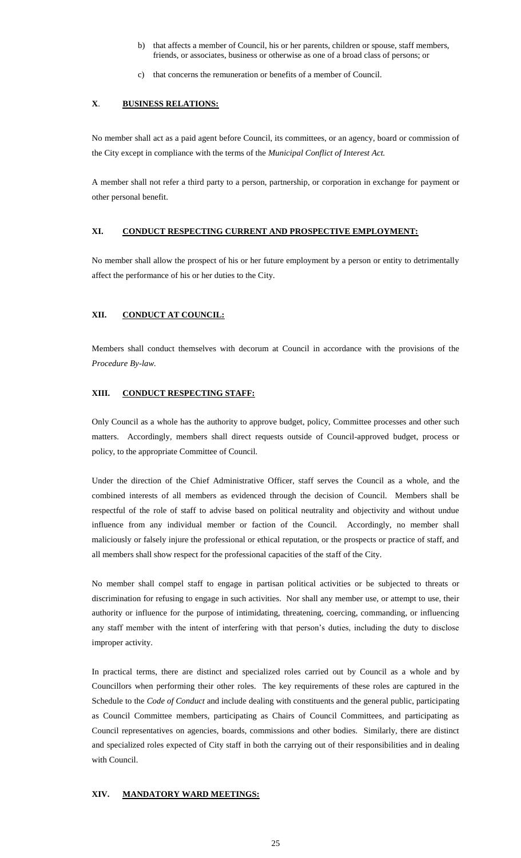- b) that affects a member of Council, his or her parents, children or spouse, staff members, friends, or associates, business or otherwise as one of a broad class of persons; or
- c) that concerns the remuneration or benefits of a member of Council.

## **X**. **BUSINESS RELATIONS:**

No member shall act as a paid agent before Council, its committees, or an agency, board or commission of the City except in compliance with the terms of the *Municipal Conflict of Interest Act.*

A member shall not refer a third party to a person, partnership, or corporation in exchange for payment or other personal benefit.

## **XI. CONDUCT RESPECTING CURRENT AND PROSPECTIVE EMPLOYMENT:**

No member shall allow the prospect of his or her future employment by a person or entity to detrimentally affect the performance of his or her duties to the City.

## **XII. CONDUCT AT COUNCIL:**

Members shall conduct themselves with decorum at Council in accordance with the provisions of the *Procedure By-law.*

#### **XIII. CONDUCT RESPECTING STAFF:**

Only Council as a whole has the authority to approve budget, policy, Committee processes and other such matters. Accordingly, members shall direct requests outside of Council-approved budget, process or policy, to the appropriate Committee of Council.

Under the direction of the Chief Administrative Officer, staff serves the Council as a whole, and the combined interests of all members as evidenced through the decision of Council. Members shall be respectful of the role of staff to advise based on political neutrality and objectivity and without undue influence from any individual member or faction of the Council. Accordingly, no member shall maliciously or falsely injure the professional or ethical reputation, or the prospects or practice of staff, and all members shall show respect for the professional capacities of the staff of the City.

No member shall compel staff to engage in partisan political activities or be subjected to threats or discrimination for refusing to engage in such activities. Nor shall any member use, or attempt to use, their authority or influence for the purpose of intimidating, threatening, coercing, commanding, or influencing any staff member with the intent of interfering with that person's duties, including the duty to disclose improper activity.

In practical terms, there are distinct and specialized roles carried out by Council as a whole and by Councillors when performing their other roles. The key requirements of these roles are captured in the Schedule to the *Code of Conduct* and include dealing with constituents and the general public, participating as Council Committee members, participating as Chairs of Council Committees, and participating as Council representatives on agencies, boards, commissions and other bodies. Similarly, there are distinct and specialized roles expected of City staff in both the carrying out of their responsibilities and in dealing with Council.

#### **XIV. MANDATORY WARD MEETINGS:**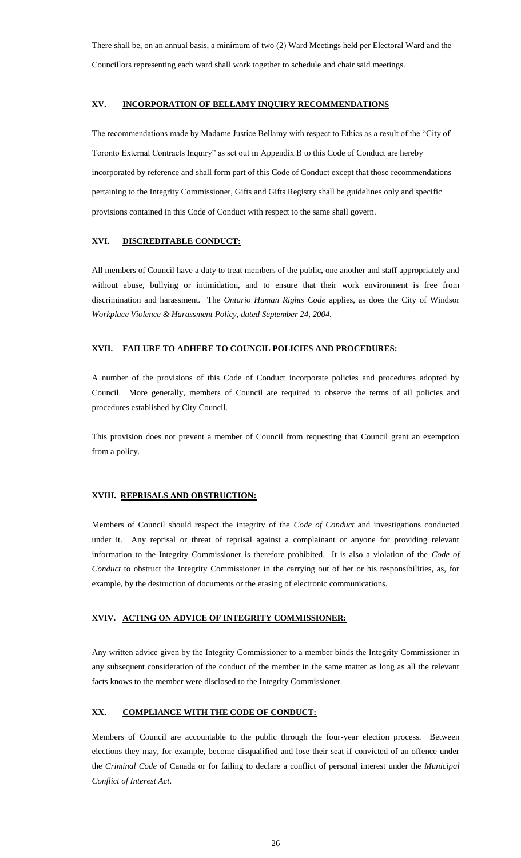There shall be, on an annual basis, a minimum of two (2) Ward Meetings held per Electoral Ward and the Councillors representing each ward shall work together to schedule and chair said meetings.

## **XV. INCORPORATION OF BELLAMY INQUIRY RECOMMENDATIONS**

The recommendations made by Madame Justice Bellamy with respect to Ethics as a result of the "City of Toronto External Contracts Inquiry" as set out in Appendix B to this Code of Conduct are hereby incorporated by reference and shall form part of this Code of Conduct except that those recommendations pertaining to the Integrity Commissioner, Gifts and Gifts Registry shall be guidelines only and specific provisions contained in this Code of Conduct with respect to the same shall govern.

#### **XVI. DISCREDITABLE CONDUCT:**

All members of Council have a duty to treat members of the public, one another and staff appropriately and without abuse, bullying or intimidation, and to ensure that their work environment is free from discrimination and harassment. The *Ontario Human Rights Code* applies, as does the City of Windsor *Workplace Violence & Harassment Policy, dated September 24, 2004.*

## **XVII. FAILURE TO ADHERE TO COUNCIL POLICIES AND PROCEDURES:**

A number of the provisions of this Code of Conduct incorporate policies and procedures adopted by Council. More generally, members of Council are required to observe the terms of all policies and procedures established by City Council.

This provision does not prevent a member of Council from requesting that Council grant an exemption from a policy.

## **XVIII. REPRISALS AND OBSTRUCTION:**

Members of Council should respect the integrity of the *Code of Conduct* and investigations conducted under it. Any reprisal or threat of reprisal against a complainant or anyone for providing relevant information to the Integrity Commissioner is therefore prohibited. It is also a violation of the *Code of Conduct* to obstruct the Integrity Commissioner in the carrying out of her or his responsibilities, as, for example, by the destruction of documents or the erasing of electronic communications.

#### **XVIV. ACTING ON ADVICE OF INTEGRITY COMMISSIONER:**

Any written advice given by the Integrity Commissioner to a member binds the Integrity Commissioner in any subsequent consideration of the conduct of the member in the same matter as long as all the relevant facts knows to the member were disclosed to the Integrity Commissioner.

## **XX. COMPLIANCE WITH THE CODE OF CONDUCT:**

Members of Council are accountable to the public through the four-year election process. Between elections they may, for example, become disqualified and lose their seat if convicted of an offence under the *Criminal Code* of Canada or for failing to declare a conflict of personal interest under the *Municipal Conflict of Interest Act*.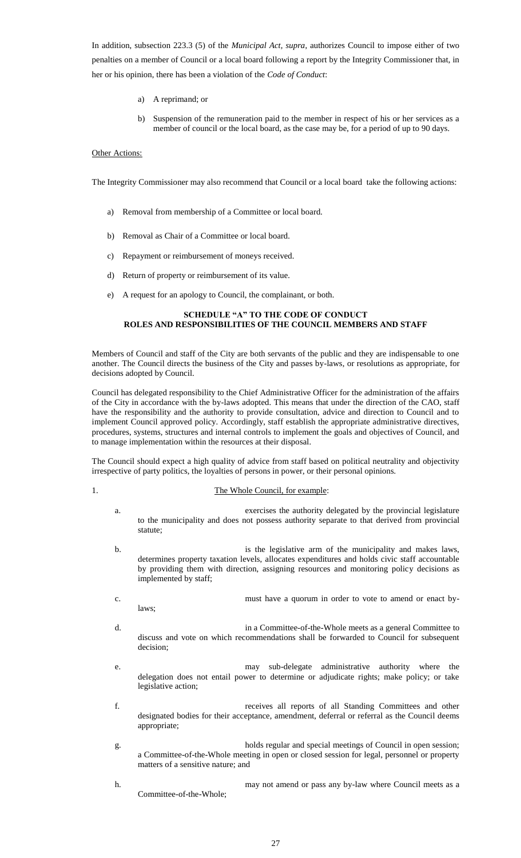In addition, subsection 223.3 (5) of the *Municipal Act, supra*, authorizes Council to impose either of two penalties on a member of Council or a local board following a report by the Integrity Commissioner that, in her or his opinion, there has been a violation of the *Code of Conduct*:

- a) A reprimand; or
- b) Suspension of the remuneration paid to the member in respect of his or her services as a member of council or the local board, as the case may be, for a period of up to 90 days.

#### **Other Actions:**

The Integrity Commissioner may also recommend that Council or a local board take the following actions:

- a) Removal from membership of a Committee or local board.
- b) Removal as Chair of a Committee or local board.
- c) Repayment or reimbursement of moneys received.
- d) Return of property or reimbursement of its value.
- e) A request for an apology to Council, the complainant, or both.

#### **SCHEDULE "A" TO THE CODE OF CONDUCT ROLES AND RESPONSIBILITIES OF THE COUNCIL MEMBERS AND STAFF**

Members of Council and staff of the City are both servants of the public and they are indispensable to one another. The Council directs the business of the City and passes by-laws, or resolutions as appropriate, for decisions adopted by Council.

Council has delegated responsibility to the Chief Administrative Officer for the administration of the affairs of the City in accordance with the by-laws adopted. This means that under the direction of the CAO, staff have the responsibility and the authority to provide consultation, advice and direction to Council and to implement Council approved policy. Accordingly, staff establish the appropriate administrative directives, procedures, systems, structures and internal controls to implement the goals and objectives of Council, and to manage implementation within the resources at their disposal.

The Council should expect a high quality of advice from staff based on political neutrality and objectivity irrespective of party politics, the loyalties of persons in power, or their personal opinions.

#### 1. The Whole Council, for example:

- a. exercises the authority delegated by the provincial legislature to the municipality and does not possess authority separate to that derived from provincial statute;
- b. is the legislative arm of the municipality and makes laws, determines property taxation levels, allocates expenditures and holds civic staff accountable by providing them with direction, assigning resources and monitoring policy decisions as implemented by staff;
- c. must have a quorum in order to vote to amend or enact bylaws;
- d. in a Committee-of-the-Whole meets as a general Committee to discuss and vote on which recommendations shall be forwarded to Council for subsequent decision;
- e. may sub-delegate administrative authority where the delegation does not entail power to determine or adjudicate rights; make policy; or take legislative action;
- f. receives all reports of all Standing Committees and other designated bodies for their acceptance, amendment, deferral or referral as the Council deems appropriate;
- g. holds regular and special meetings of Council in open session; a Committee-of-the-Whole meeting in open or closed session for legal, personnel or property matters of a sensitive nature; and
- h. may not amend or pass any by-law where Council meets as a Committee-of-the-Whole;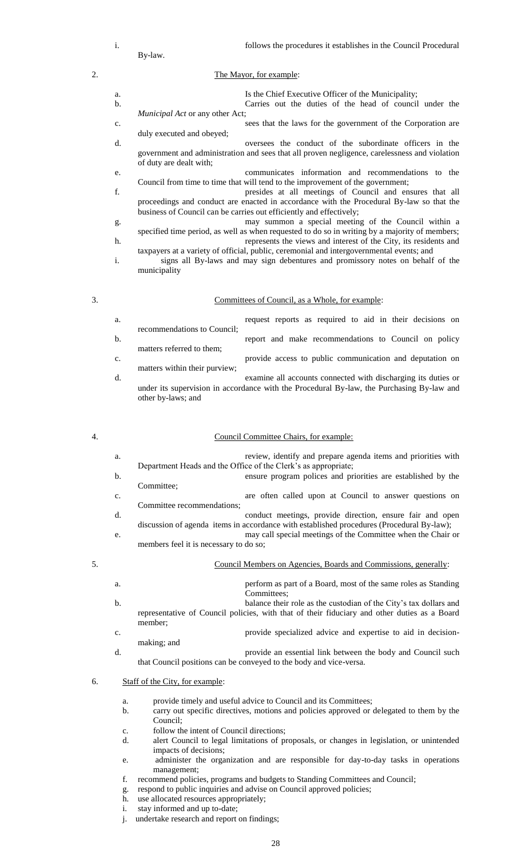|    | By-law. | follows the procedures it establishes in the Council Procedural |
|----|---------|-----------------------------------------------------------------|
| 2. |         | The Mayor, for example:                                         |

- a. Is the Chief Executive Officer of the Municipality; b. Carries out the duties of the head of council under the *Municipal Act* or any other Act; c. sees that the laws for the government of the Corporation are duly executed and obeyed; d. oversees the conduct of the subordinate officers in the government and administration and sees that all proven negligence, carelessness and violation of duty are dealt with; e. communicates information and recommendations to the Council from time to time that will tend to the improvement of the government; f. presides at all meetings of Council and ensures that all proceedings and conduct are enacted in accordance with the Procedural By-law so that the business of Council can be carries out efficiently and effectively; g. may summon a special meeting of the Council within a specified time period, as well as when requested to do so in writing by a majority of members; h. **represents the views and interest of the City**, its residents and
- taxpayers at a variety of official, public, ceremonial and intergovernmental events; and i. signs all By-laws and may sign debentures and promissory notes on behalf of the municipality

#### 3. Committees of Council, as a Whole, for example:

| a. |                               | request reports as required to aid in their decisions on                                                                                                   |
|----|-------------------------------|------------------------------------------------------------------------------------------------------------------------------------------------------------|
| b. | recommendations to Council;   | report and make recommendations to Council on policy                                                                                                       |
| c. | matters referred to them;     | provide access to public communication and deputation on                                                                                                   |
| d. | matters within their purview; | examine all accounts connected with discharging its duties or<br>under its supervision in accordance with the Procedural By-law, the Purchasing By-law and |
|    | other by-laws; and            |                                                                                                                                                            |

#### 4. Council Committee Chairs, for example:

|    | a. | review, identify and prepare agenda items and priorities with<br>Department Heads and the Office of the Clerk's as appropriate; |
|----|----|---------------------------------------------------------------------------------------------------------------------------------|
|    | b. | ensure program polices and priorities are established by the                                                                    |
|    |    | Committee:                                                                                                                      |
|    | c. | are often called upon at Council to answer questions on                                                                         |
|    |    | Committee recommendations;                                                                                                      |
|    | d. | conduct meetings, provide direction, ensure fair and open                                                                       |
|    |    | discussion of agenda items in accordance with established procedures (Procedural By-law);                                       |
|    | e. | may call special meetings of the Committee when the Chair or                                                                    |
|    |    | members feel it is necessary to do so;                                                                                          |
| 5. |    | Council Members on Agencies, Boards and Commissions, generally:                                                                 |
|    |    |                                                                                                                                 |

a. perform as part of a Board, most of the same roles as Standing Committees; b. balance their role as the custodian of the City's tax dollars and representative of Council policies, with that of their fiduciary and other duties as a Board member; c. provide specialized advice and expertise to aid in decisionmaking; and d. provide an essential link between the body and Council such that Council positions can be conveyed to the body and vice-versa.

#### 6. Staff of the City, for example:

- a. provide timely and useful advice to Council and its Committees;
- b. carry out specific directives, motions and policies approved or delegated to them by the Council;
- c. follow the intent of Council directions;
- d. alert Council to legal limitations of proposals, or changes in legislation, or unintended impacts of decisions;
- e. administer the organization and are responsible for day-to-day tasks in operations management;
- f. recommend policies, programs and budgets to Standing Committees and Council;
- g. respond to public inquiries and advise on Council approved policies;
- h. use allocated resources appropriately;
- i. stay informed and up to-date;
- j. undertake research and report on findings;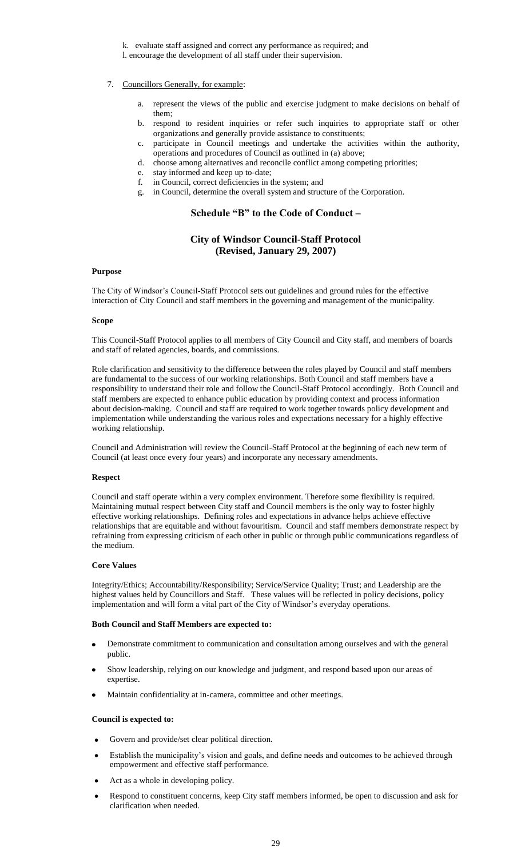k. evaluate staff assigned and correct any performance as required; and l. encourage the development of all staff under their supervision.

- 7. Councillors Generally, for example:
	- a. represent the views of the public and exercise judgment to make decisions on behalf of them;
	- b. respond to resident inquiries or refer such inquiries to appropriate staff or other organizations and generally provide assistance to constituents;
	- c. participate in Council meetings and undertake the activities within the authority, operations and procedures of Council as outlined in (a) above;
	- d. choose among alternatives and reconcile conflict among competing priorities;
	- e. stay informed and keep up to-date;
	- f. in Council, correct deficiencies in the system; and
	- g. in Council, determine the overall system and structure of the Corporation.

# Schedule "B" to the Code of Conduct -

# **City of Windsor Council-Staff Protocol (Revised, January 29, 2007)**

#### **Purpose**

The City of Windsor"s Council-Staff Protocol sets out guidelines and ground rules for the effective interaction of City Council and staff members in the governing and management of the municipality.

#### **Scope**

This Council-Staff Protocol applies to all members of City Council and City staff, and members of boards and staff of related agencies, boards, and commissions.

Role clarification and sensitivity to the difference between the roles played by Council and staff members are fundamental to the success of our working relationships. Both Council and staff members have a responsibility to understand their role and follow the Council-Staff Protocol accordingly. Both Council and staff members are expected to enhance public education by providing context and process information about decision-making. Council and staff are required to work together towards policy development and implementation while understanding the various roles and expectations necessary for a highly effective working relationship.

Council and Administration will review the Council-Staff Protocol at the beginning of each new term of Council (at least once every four years) and incorporate any necessary amendments.

#### **Respect**

Council and staff operate within a very complex environment. Therefore some flexibility is required. Maintaining mutual respect between City staff and Council members is the only way to foster highly effective working relationships. Defining roles and expectations in advance helps achieve effective relationships that are equitable and without favouritism. Council and staff members demonstrate respect by refraining from expressing criticism of each other in public or through public communications regardless of the medium.

#### **Core Values**

Integrity/Ethics; Accountability/Responsibility; Service/Service Quality; Trust; and Leadership are the highest values held by Councillors and Staff. These values will be reflected in policy decisions, policy implementation and will form a vital part of the City of Windsor"s everyday operations.

#### **Both Council and Staff Members are expected to:**

- Demonstrate commitment to communication and consultation among ourselves and with the general public.
- Show leadership, relying on our knowledge and judgment, and respond based upon our areas of expertise.
- Maintain confidentiality at in-camera, committee and other meetings.

#### **Council is expected to:**

- Govern and provide/set clear political direction.
- Establish the municipality"s vision and goals, and define needs and outcomes to be achieved through empowerment and effective staff performance.
- Act as a whole in developing policy.
- Respond to constituent concerns, keep City staff members informed, be open to discussion and ask for clarification when needed.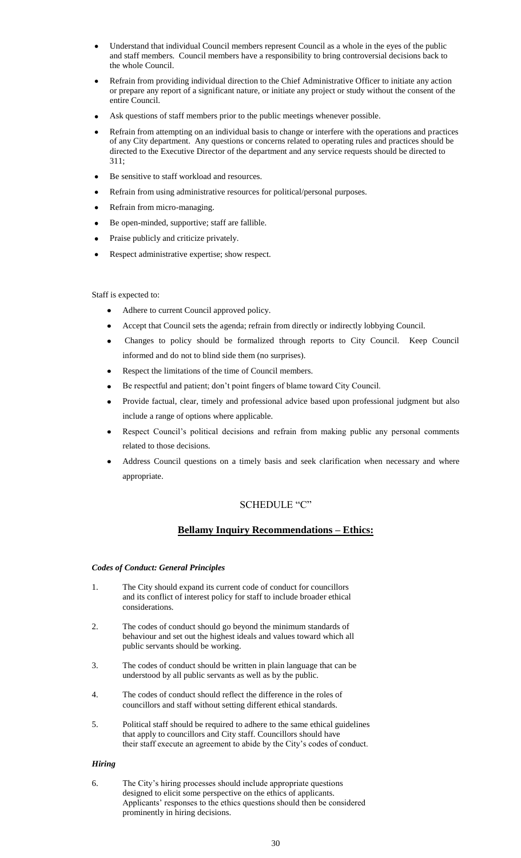- Understand that individual Council members represent Council as a whole in the eyes of the public and staff members. Council members have a responsibility to bring controversial decisions back to the whole Council.
- Refrain from providing individual direction to the Chief Administrative Officer to initiate any action or prepare any report of a significant nature, or initiate any project or study without the consent of the entire Council.
- Ask questions of staff members prior to the public meetings whenever possible.
- Refrain from attempting on an individual basis to change or interfere with the operations and practices of any City department. Any questions or concerns related to operating rules and practices should be directed to the Executive Director of the department and any service requests should be directed to 311;
- Be sensitive to staff workload and resources.
- Refrain from using administrative resources for political/personal purposes.
- Refrain from micro-managing.
- Be open-minded, supportive; staff are fallible.
- Praise publicly and criticize privately.
- Respect administrative expertise; show respect.

#### Staff is expected to:

- Adhere to current Council approved policy.  $\bullet$
- Accept that Council sets the agenda; refrain from directly or indirectly lobbying Council.
- Changes to policy should be formalized through reports to City Council. Keep Council informed and do not to blind side them (no surprises).
- Respect the limitations of the time of Council members.
- Be respectful and patient; don"t point fingers of blame toward City Council.
- Provide factual, clear, timely and professional advice based upon professional judgment but also include a range of options where applicable.
- Respect Council's political decisions and refrain from making public any personal comments related to those decisions.
- Address Council questions on a timely basis and seek clarification when necessary and where appropriate.

## SCHEDULE "C"

# **Bellamy Inquiry Recommendations – Ethics:**

#### *Codes of Conduct: General Principles*

- 1. The City should expand its current code of conduct for councillors and its conflict of interest policy for staff to include broader ethical considerations.
- 2. The codes of conduct should go beyond the minimum standards of behaviour and set out the highest ideals and values toward which all public servants should be working.
- 3. The codes of conduct should be written in plain language that can be understood by all public servants as well as by the public.
- 4. The codes of conduct should reflect the difference in the roles of councillors and staff without setting different ethical standards.
- 5. Political staff should be required to adhere to the same ethical guidelines that apply to councillors and City staff. Councillors should have their staff execute an agreement to abide by the City"s codes of conduct.

#### *Hiring*

6. The City"s hiring processes should include appropriate questions designed to elicit some perspective on the ethics of applicants. Applicants' responses to the ethics questions should then be considered prominently in hiring decisions.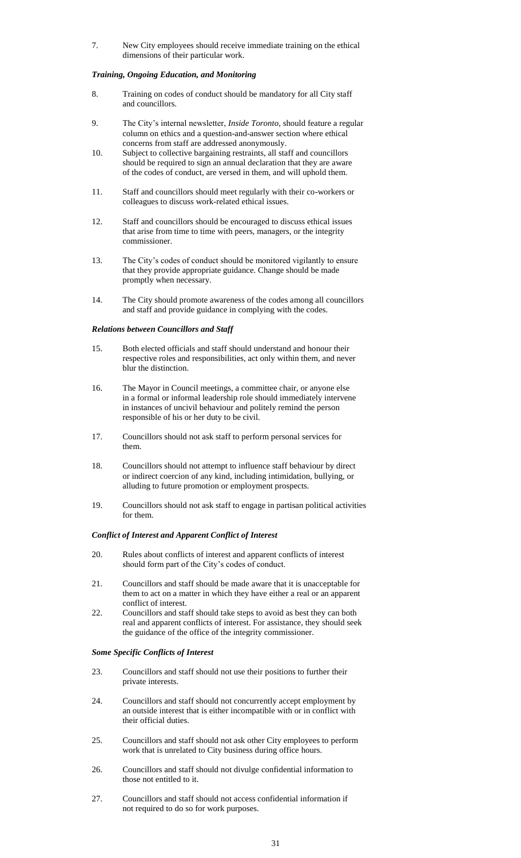7. New City employees should receive immediate training on the ethical dimensions of their particular work.

#### *Training, Ongoing Education, and Monitoring*

- 8. Training on codes of conduct should be mandatory for all City staff and councillors.
- 9. The City"s internal newsletter, *Inside Toronto*, should feature a regular column on ethics and a question-and-answer section where ethical concerns from staff are addressed anonymously.
- 10. Subject to collective bargaining restraints, all staff and councillors should be required to sign an annual declaration that they are aware of the codes of conduct, are versed in them, and will uphold them.
- 11. Staff and councillors should meet regularly with their co-workers or colleagues to discuss work-related ethical issues.
- 12. Staff and councillors should be encouraged to discuss ethical issues that arise from time to time with peers, managers, or the integrity commissioner.
- 13. The City"s codes of conduct should be monitored vigilantly to ensure that they provide appropriate guidance. Change should be made promptly when necessary.
- 14. The City should promote awareness of the codes among all councillors and staff and provide guidance in complying with the codes.

#### *Relations between Councillors and Staff*

- 15. Both elected officials and staff should understand and honour their respective roles and responsibilities, act only within them, and never blur the distinction.
- 16. The Mayor in Council meetings, a committee chair, or anyone else in a formal or informal leadership role should immediately intervene in instances of uncivil behaviour and politely remind the person responsible of his or her duty to be civil.
- 17. Councillors should not ask staff to perform personal services for them.
- 18. Councillors should not attempt to influence staff behaviour by direct or indirect coercion of any kind, including intimidation, bullying, or alluding to future promotion or employment prospects.
- 19. Councillors should not ask staff to engage in partisan political activities for them.

#### *Conflict of Interest and Apparent Conflict of Interest*

- 20. Rules about conflicts of interest and apparent conflicts of interest should form part of the City"s codes of conduct.
- 21. Councillors and staff should be made aware that it is unacceptable for them to act on a matter in which they have either a real or an apparent conflict of interest.
- 22. Councillors and staff should take steps to avoid as best they can both real and apparent conflicts of interest. For assistance, they should seek the guidance of the office of the integrity commissioner.

#### *Some Specific Conflicts of Interest*

- 23. Councillors and staff should not use their positions to further their private interests.
- 24. Councillors and staff should not concurrently accept employment by an outside interest that is either incompatible with or in conflict with their official duties.
- 25. Councillors and staff should not ask other City employees to perform work that is unrelated to City business during office hours.
- 26. Councillors and staff should not divulge confidential information to those not entitled to it.
- 27. Councillors and staff should not access confidential information if not required to do so for work purposes.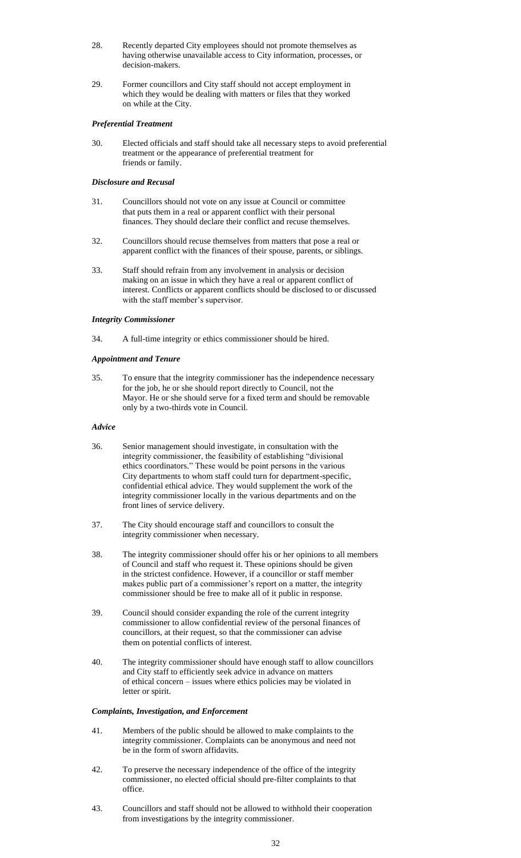- 28. Recently departed City employees should not promote themselves as having otherwise unavailable access to City information, processes, or decision-makers.
- 29. Former councillors and City staff should not accept employment in which they would be dealing with matters or files that they worked on while at the City.

#### *Preferential Treatment*

30. Elected officials and staff should take all necessary steps to avoid preferential treatment or the appearance of preferential treatment for friends or family.

#### *Disclosure and Recusal*

- 31. Councillors should not vote on any issue at Council or committee that puts them in a real or apparent conflict with their personal finances. They should declare their conflict and recuse themselves.
- 32. Councillors should recuse themselves from matters that pose a real or apparent conflict with the finances of their spouse, parents, or siblings.
- 33. Staff should refrain from any involvement in analysis or decision making on an issue in which they have a real or apparent conflict of interest. Conflicts or apparent conflicts should be disclosed to or discussed with the staff member's supervisor.

#### *Integrity Commissioner*

34. A full-time integrity or ethics commissioner should be hired.

#### *Appointment and Tenure*

35. To ensure that the integrity commissioner has the independence necessary for the job, he or she should report directly to Council, not the Mayor. He or she should serve for a fixed term and should be removable only by a two-thirds vote in Council.

#### *Advice*

- 36. Senior management should investigate, in consultation with the integrity commissioner, the feasibility of establishing "divisional ethics coordinators." These would be point persons in the various City departments to whom staff could turn for department-specific, confidential ethical advice. They would supplement the work of the integrity commissioner locally in the various departments and on the front lines of service delivery.
- 37. The City should encourage staff and councillors to consult the integrity commissioner when necessary.
- 38. The integrity commissioner should offer his or her opinions to all members of Council and staff who request it. These opinions should be given in the strictest confidence. However, if a councillor or staff member makes public part of a commissioner's report on a matter, the integrity commissioner should be free to make all of it public in response.
- 39. Council should consider expanding the role of the current integrity commissioner to allow confidential review of the personal finances of councillors, at their request, so that the commissioner can advise them on potential conflicts of interest.
- 40. The integrity commissioner should have enough staff to allow councillors and City staff to efficiently seek advice in advance on matters of ethical concern – issues where ethics policies may be violated in letter or spirit.

#### *Complaints, Investigation, and Enforcement*

- 41. Members of the public should be allowed to make complaints to the integrity commissioner. Complaints can be anonymous and need not be in the form of sworn affidavits.
- 42. To preserve the necessary independence of the office of the integrity commissioner, no elected official should pre-filter complaints to that office.
- 43. Councillors and staff should not be allowed to withhold their cooperation from investigations by the integrity commissioner.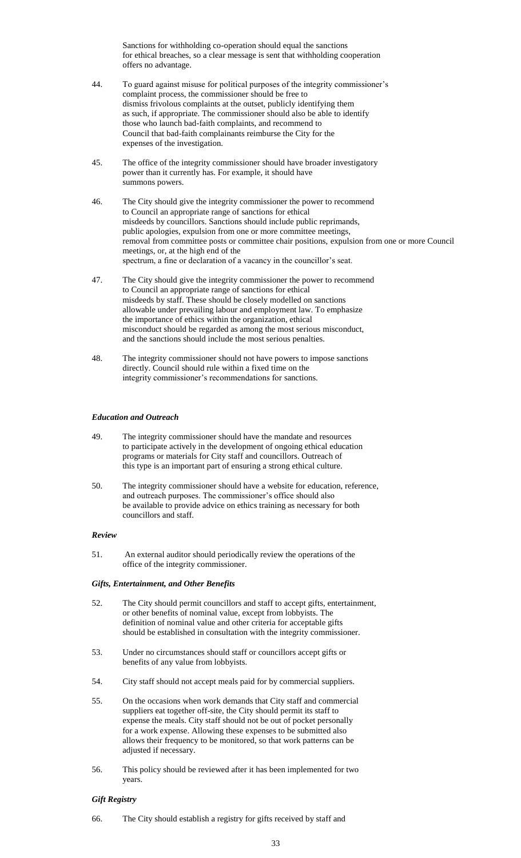Sanctions for withholding co-operation should equal the sanctions for ethical breaches, so a clear message is sent that withholding cooperation offers no advantage.

- 44. To guard against misuse for political purposes of the integrity commissioner"s complaint process, the commissioner should be free to dismiss frivolous complaints at the outset, publicly identifying them as such, if appropriate. The commissioner should also be able to identify those who launch bad-faith complaints, and recommend to Council that bad-faith complainants reimburse the City for the expenses of the investigation.
- 45. The office of the integrity commissioner should have broader investigatory power than it currently has. For example, it should have summons powers.
- 46. The City should give the integrity commissioner the power to recommend to Council an appropriate range of sanctions for ethical misdeeds by councillors. Sanctions should include public reprimands, public apologies, expulsion from one or more committee meetings, removal from committee posts or committee chair positions, expulsion from one or more Council meetings, or, at the high end of the spectrum, a fine or declaration of a vacancy in the councillor's seat.
- 47. The City should give the integrity commissioner the power to recommend to Council an appropriate range of sanctions for ethical misdeeds by staff. These should be closely modelled on sanctions allowable under prevailing labour and employment law. To emphasize the importance of ethics within the organization, ethical misconduct should be regarded as among the most serious misconduct, and the sanctions should include the most serious penalties.
- 48. The integrity commissioner should not have powers to impose sanctions directly. Council should rule within a fixed time on the integrity commissioner's recommendations for sanctions.

#### *Education and Outreach*

- 49. The integrity commissioner should have the mandate and resources to participate actively in the development of ongoing ethical education programs or materials for City staff and councillors. Outreach of this type is an important part of ensuring a strong ethical culture.
- 50. The integrity commissioner should have a website for education, reference, and outreach purposes. The commissioner's office should also be available to provide advice on ethics training as necessary for both councillors and staff.

#### *Review*

51. An external auditor should periodically review the operations of the office of the integrity commissioner.

#### *Gifts, Entertainment, and Other Benefits*

- 52. The City should permit councillors and staff to accept gifts, entertainment, or other benefits of nominal value, except from lobbyists. The definition of nominal value and other criteria for acceptable gifts should be established in consultation with the integrity commissioner.
- 53. Under no circumstances should staff or councillors accept gifts or benefits of any value from lobbyists.
- 54. City staff should not accept meals paid for by commercial suppliers.
- 55. On the occasions when work demands that City staff and commercial suppliers eat together off-site, the City should permit its staff to expense the meals. City staff should not be out of pocket personally for a work expense. Allowing these expenses to be submitted also allows their frequency to be monitored, so that work patterns can be adjusted if necessary.
- 56. This policy should be reviewed after it has been implemented for two years.

#### *Gift Registry*

66. The City should establish a registry for gifts received by staff and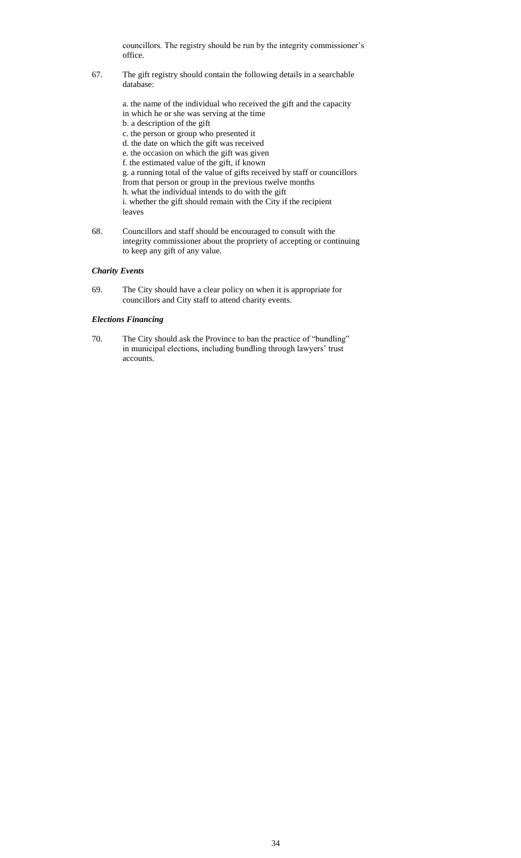councillors. The registry should be run by the integrity commissioner"s office.

67. The gift registry should contain the following details in a searchable database:

> a. the name of the individual who received the gift and the capacity in which he or she was serving at the time b. a description of the gift c. the person or group who presented it d. the date on which the gift was received e. the occasion on which the gift was given f. the estimated value of the gift, if known g. a running total of the value of gifts received by staff or councillors from that person or group in the previous twelve months h. what the individual intends to do with the gift i. whether the gift should remain with the City if the recipient leaves

68. Councillors and staff should be encouraged to consult with the integrity commissioner about the propriety of accepting or continuing to keep any gift of any value.

#### *Charity Events*

69. The City should have a clear policy on when it is appropriate for councillors and City staff to attend charity events.

#### *Elections Financing*

70. The City should ask the Province to ban the practice of "bundling" in municipal elections, including bundling through lawyers' trust accounts.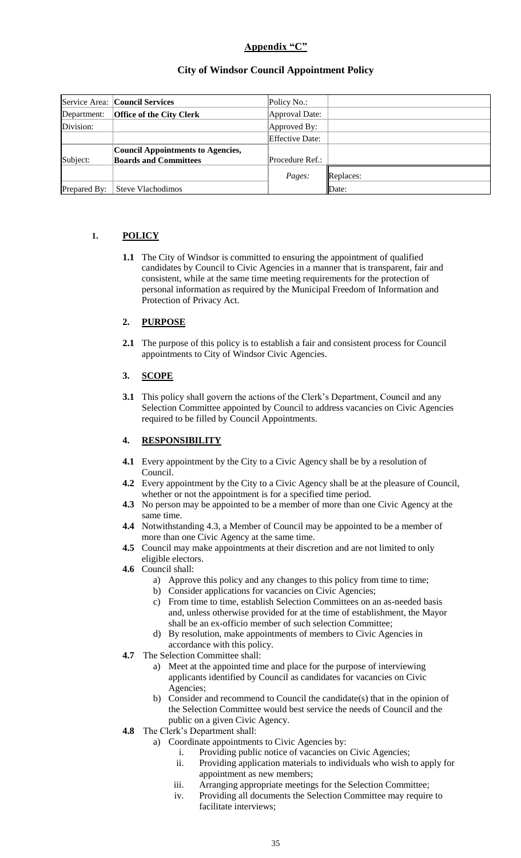# Appendix "C"

# **City of Windsor Council Appointment Policy**

|              | Service Area: Council Services    | Policy No.:     |           |
|--------------|-----------------------------------|-----------------|-----------|
| Department:  | <b>Office of the City Clerk</b>   | Approval Date:  |           |
| Division:    |                                   | Approved By:    |           |
|              |                                   | Effective Date: |           |
|              | Council Appointments to Agencies, |                 |           |
| Subject:     | <b>Boards and Committees</b>      | Procedure Ref.: |           |
|              |                                   | Pages:          | Replaces: |
| Prepared By: | Steve Vlachodimos                 |                 | Date:     |

# **1. POLICY**

**1.1** The City of Windsor is committed to ensuring the appointment of qualified candidates by Council to Civic Agencies in a manner that is transparent, fair and consistent, while at the same time meeting requirements for the protection of personal information as required by the Municipal Freedom of Information and Protection of Privacy Act.

# **2. PURPOSE**

**2.1** The purpose of this policy is to establish a fair and consistent process for Council appointments to City of Windsor Civic Agencies.

## **3. SCOPE**

**3.1** This policy shall govern the actions of the Clerk's Department, Council and any Selection Committee appointed by Council to address vacancies on Civic Agencies required to be filled by Council Appointments.

# **4. RESPONSIBILITY**

- **4.1** Every appointment by the City to a Civic Agency shall be by a resolution of Council.
- **4.2** Every appointment by the City to a Civic Agency shall be at the pleasure of Council, whether or not the appointment is for a specified time period.
- **4.3** No person may be appointed to be a member of more than one Civic Agency at the same time.
- **4.4** Notwithstanding 4.3, a Member of Council may be appointed to be a member of more than one Civic Agency at the same time.
- **4.5** Council may make appointments at their discretion and are not limited to only eligible electors.
- **4.6** Council shall:
	- a) Approve this policy and any changes to this policy from time to time;
	- b) Consider applications for vacancies on Civic Agencies;
	- c) From time to time, establish Selection Committees on an as-needed basis and, unless otherwise provided for at the time of establishment, the Mayor shall be an ex-officio member of such selection Committee;
	- d) By resolution, make appointments of members to Civic Agencies in accordance with this policy.
- **4.7** The Selection Committee shall:
	- a) Meet at the appointed time and place for the purpose of interviewing applicants identified by Council as candidates for vacancies on Civic Agencies;
	- b) Consider and recommend to Council the candidate(s) that in the opinion of the Selection Committee would best service the needs of Council and the public on a given Civic Agency.
- **4.8** The Clerk"s Department shall:
	- a) Coordinate appointments to Civic Agencies by:
		- i. Providing public notice of vacancies on Civic Agencies;
		- ii. Providing application materials to individuals who wish to apply for appointment as new members;
		- iii. Arranging appropriate meetings for the Selection Committee;
		- iv. Providing all documents the Selection Committee may require to facilitate interviews;